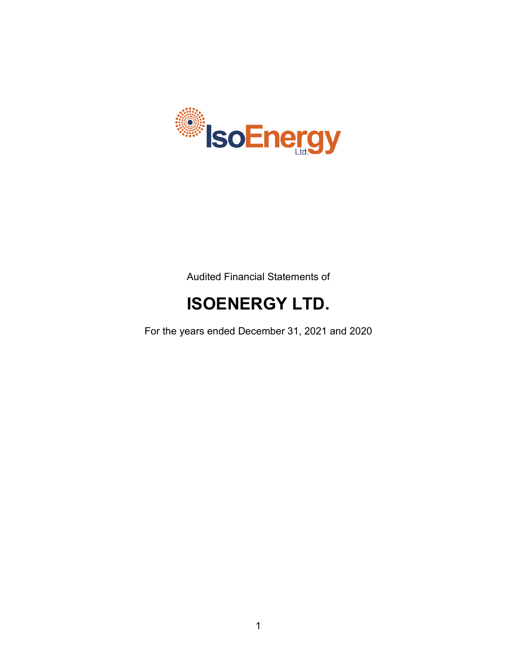

Audited Financial Statements of

# **ISOENERGY LTD.**

For the years ended December 31, 2021 and 2020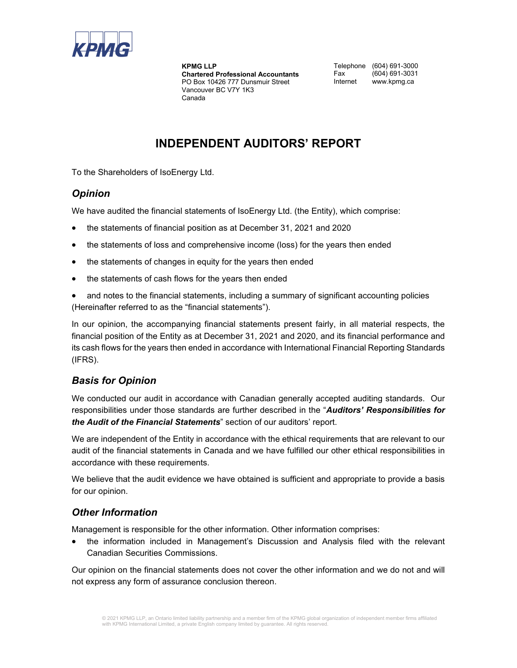

**KPMG LLP Chartered Professional Accountants** PO Box 10426 777 Dunsmuir Street Vancouver BC V7Y 1K3 Canada

Telephone (604) 691-3000<br>Fax (604) 691-3031 Fax (604) 691-3031 www.kpmg.ca

# **INDEPENDENT AUDITORS' REPORT**

To the Shareholders of IsoEnergy Ltd.

# *Opinion*

We have audited the financial statements of IsoEnergy Ltd. (the Entity), which comprise:

- the statements of financial position as at December 31, 2021 and 2020
- the statements of loss and comprehensive income (loss) for the years then ended
- the statements of changes in equity for the years then ended
- the statements of cash flows for the years then ended
- and notes to the financial statements, including a summary of significant accounting policies (Hereinafter referred to as the "financial statements").

In our opinion, the accompanying financial statements present fairly, in all material respects, the financial position of the Entity as at December 31, 2021 and 2020, and its financial performance and its cash flows for the years then ended in accordance with International Financial Reporting Standards (IFRS).

# *Basis for Opinion*

We conducted our audit in accordance with Canadian generally accepted auditing standards. Our responsibilities under those standards are further described in the "*Auditors' Responsibilities for the Audit of the Financial Statements*" section of our auditors' report.

We are independent of the Entity in accordance with the ethical requirements that are relevant to our audit of the financial statements in Canada and we have fulfilled our other ethical responsibilities in accordance with these requirements.

We believe that the audit evidence we have obtained is sufficient and appropriate to provide a basis for our opinion.

## *Other Information*

Management is responsible for the other information. Other information comprises:

• the information included in Management's Discussion and Analysis filed with the relevant Canadian Securities Commissions.

Our opinion on the financial statements does not cover the other information and we do not and will not express any form of assurance conclusion thereon.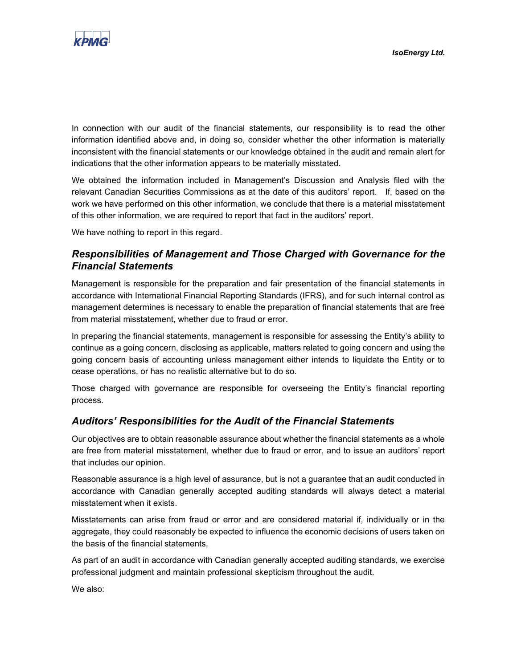

In connection with our audit of the financial statements, our responsibility is to read the other information identified above and, in doing so, consider whether the other information is materially inconsistent with the financial statements or our knowledge obtained in the audit and remain alert for indications that the other information appears to be materially misstated.

We obtained the information included in Management's Discussion and Analysis filed with the relevant Canadian Securities Commissions as at the date of this auditors' report. If, based on the work we have performed on this other information, we conclude that there is a material misstatement of this other information, we are required to report that fact in the auditors' report.

We have nothing to report in this regard.

# *Responsibilities of Management and Those Charged with Governance for the Financial Statements*

Management is responsible for the preparation and fair presentation of the financial statements in accordance with International Financial Reporting Standards (IFRS), and for such internal control as management determines is necessary to enable the preparation of financial statements that are free from material misstatement, whether due to fraud or error.

In preparing the financial statements, management is responsible for assessing the Entity's ability to continue as a going concern, disclosing as applicable, matters related to going concern and using the going concern basis of accounting unless management either intends to liquidate the Entity or to cease operations, or has no realistic alternative but to do so.

Those charged with governance are responsible for overseeing the Entity's financial reporting process.

## *Auditors' Responsibilities for the Audit of the Financial Statements*

Our objectives are to obtain reasonable assurance about whether the financial statements as a whole are free from material misstatement, whether due to fraud or error, and to issue an auditors' report that includes our opinion.

Reasonable assurance is a high level of assurance, but is not a guarantee that an audit conducted in accordance with Canadian generally accepted auditing standards will always detect a material misstatement when it exists.

Misstatements can arise from fraud or error and are considered material if, individually or in the aggregate, they could reasonably be expected to influence the economic decisions of users taken on the basis of the financial statements.

As part of an audit in accordance with Canadian generally accepted auditing standards, we exercise professional judgment and maintain professional skepticism throughout the audit.

We also: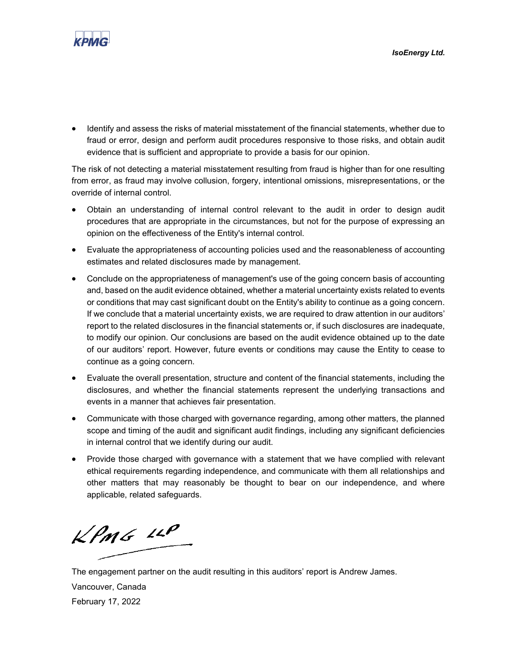

• Identify and assess the risks of material misstatement of the financial statements, whether due to fraud or error, design and perform audit procedures responsive to those risks, and obtain audit evidence that is sufficient and appropriate to provide a basis for our opinion.

The risk of not detecting a material misstatement resulting from fraud is higher than for one resulting from error, as fraud may involve collusion, forgery, intentional omissions, misrepresentations, or the override of internal control.

- Obtain an understanding of internal control relevant to the audit in order to design audit procedures that are appropriate in the circumstances, but not for the purpose of expressing an opinion on the effectiveness of the Entity's internal control.
- Evaluate the appropriateness of accounting policies used and the reasonableness of accounting estimates and related disclosures made by management.
- Conclude on the appropriateness of management's use of the going concern basis of accounting and, based on the audit evidence obtained, whether a material uncertainty exists related to events or conditions that may cast significant doubt on the Entity's ability to continue as a going concern. If we conclude that a material uncertainty exists, we are required to draw attention in our auditors' report to the related disclosures in the financial statements or, if such disclosures are inadequate, to modify our opinion. Our conclusions are based on the audit evidence obtained up to the date of our auditors' report. However, future events or conditions may cause the Entity to cease to continue as a going concern.
- Evaluate the overall presentation, structure and content of the financial statements, including the disclosures, and whether the financial statements represent the underlying transactions and events in a manner that achieves fair presentation.
- Communicate with those charged with governance regarding, among other matters, the planned scope and timing of the audit and significant audit findings, including any significant deficiencies in internal control that we identify during our audit.
- Provide those charged with governance with a statement that we have complied with relevant ethical requirements regarding independence, and communicate with them all relationships and other matters that may reasonably be thought to bear on our independence, and where applicable, related safeguards.

 $KPMG$  11P

The engagement partner on the audit resulting in this auditors' report is Andrew James. Vancouver, Canada February 17, 2022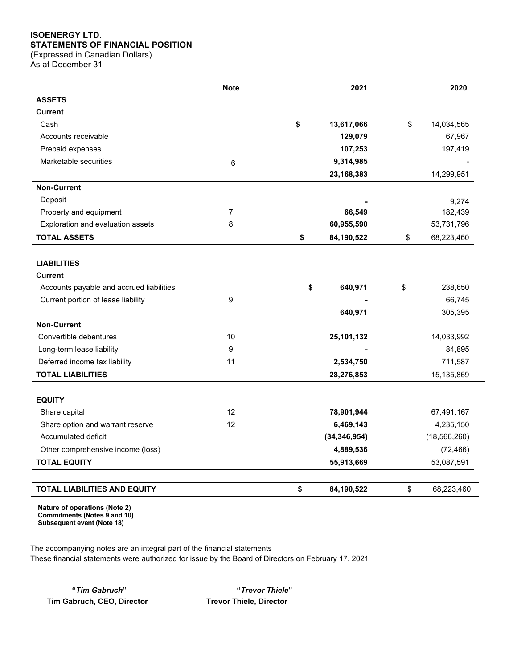#### **ISOENERGY LTD. STATEMENTS OF FINANCIAL POSITION** (Expressed in Canadian Dollars)

As at December 31

|                                          | <b>Note</b> | 2021             | 2020             |
|------------------------------------------|-------------|------------------|------------------|
| <b>ASSETS</b>                            |             |                  |                  |
| <b>Current</b>                           |             |                  |                  |
| Cash                                     |             | \$<br>13,617,066 | \$<br>14,034,565 |
| Accounts receivable                      |             | 129,079          | 67,967           |
| Prepaid expenses                         |             | 107,253          | 197,419          |
| Marketable securities                    | $\,6\,$     | 9,314,985        |                  |
|                                          |             | 23, 168, 383     | 14,299,951       |
| <b>Non-Current</b>                       |             |                  |                  |
| Deposit                                  |             |                  | 9,274            |
| Property and equipment                   | 7           | 66,549           | 182,439          |
| Exploration and evaluation assets        | 8           | 60,955,590       | 53,731,796       |
| <b>TOTAL ASSETS</b>                      |             | \$<br>84,190,522 | \$<br>68,223,460 |
| <b>LIABILITIES</b>                       |             |                  |                  |
| <b>Current</b>                           |             |                  |                  |
| Accounts payable and accrued liabilities |             | \$<br>640,971    | \$<br>238,650    |
| Current portion of lease liability       | 9           |                  | 66,745           |
|                                          |             | 640,971          | 305,395          |
| <b>Non-Current</b>                       |             |                  |                  |
| Convertible debentures                   | 10          | 25,101,132       | 14,033,992       |
| Long-term lease liability                | 9           |                  | 84,895           |
| Deferred income tax liability            | 11          | 2,534,750        | 711,587          |
| <b>TOTAL LIABILITIES</b>                 |             | 28,276,853       | 15,135,869       |
| <b>EQUITY</b>                            |             |                  |                  |
| Share capital                            | 12          | 78,901,944       | 67,491,167       |
| Share option and warrant reserve         | 12          | 6,469,143        | 4,235,150        |
| Accumulated deficit                      |             | (34, 346, 954)   | (18, 566, 260)   |
| Other comprehensive income (loss)        |             | 4,889,536        | (72, 466)        |
| <b>TOTAL EQUITY</b>                      |             | 55,913,669       | 53,087,591       |
|                                          |             |                  |                  |
| <b>TOTAL LIABILITIES AND EQUITY</b>      |             | \$<br>84,190,522 | \$<br>68,223,460 |

**Nature of operations (Note 2) Commitments (Notes 9 and 10) Subsequent event (Note 18)**

The accompanying notes are an integral part of the financial statements These financial statements were authorized for issue by the Board of Directors on February 17, 2021

**Tim Gabruch, CEO, Director Trevor Thiele, Director**

**"***Tim Gabruch***" "***Trevor Thiele***"**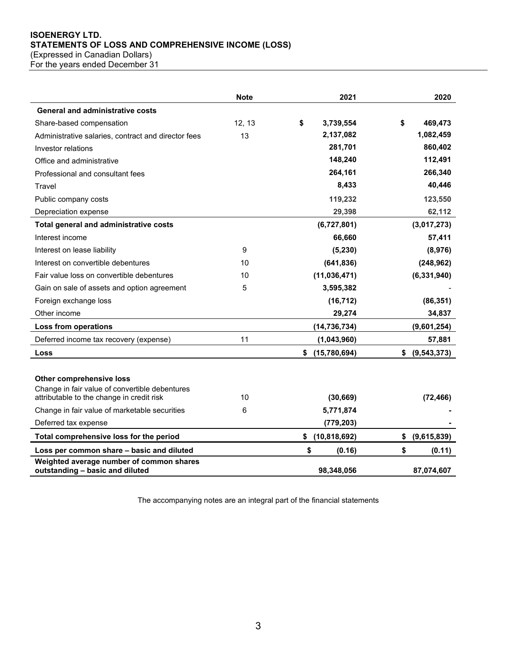#### **ISOENERGY LTD. STATEMENTS OF LOSS AND COMPREHENSIVE INCOME (LOSS)**

(Expressed in Canadian Dollars)

| For the years ended December 31 |  |
|---------------------------------|--|

|                                                                                                                         | <b>Note</b> | 2021                 | 2020                |
|-------------------------------------------------------------------------------------------------------------------------|-------------|----------------------|---------------------|
| <b>General and administrative costs</b>                                                                                 |             |                      |                     |
| Share-based compensation                                                                                                | 12, 13      | \$<br>3,739,554      | \$<br>469,473       |
| Administrative salaries, contract and director fees                                                                     | 13          | 2,137,082            | 1,082,459           |
| Investor relations                                                                                                      |             | 281,701              | 860,402             |
| Office and administrative                                                                                               |             | 148,240              | 112,491             |
| Professional and consultant fees                                                                                        |             | 264,161              | 266,340             |
| Travel                                                                                                                  |             | 8,433                | 40,446              |
| Public company costs                                                                                                    |             | 119,232              | 123,550             |
| Depreciation expense                                                                                                    |             | 29,398               | 62,112              |
| Total general and administrative costs                                                                                  |             | (6,727,801)          | (3,017,273)         |
| Interest income                                                                                                         |             | 66,660               | 57,411              |
| Interest on lease liability                                                                                             | 9           | (5,230)              | (8,976)             |
| Interest on convertible debentures                                                                                      | 10          | (641, 836)           | (248, 962)          |
| Fair value loss on convertible debentures                                                                               | 10          | (11, 036, 471)       | (6, 331, 940)       |
| Gain on sale of assets and option agreement                                                                             | 5           | 3,595,382            |                     |
| Foreign exchange loss                                                                                                   |             | (16, 712)            | (86, 351)           |
| Other income                                                                                                            |             | 29,274               | 34,837              |
| Loss from operations                                                                                                    |             | (14, 736, 734)       | (9,601,254)         |
| Deferred income tax recovery (expense)                                                                                  | 11          | (1,043,960)          | 57,881              |
| Loss                                                                                                                    |             | (15,780,694)<br>\$   | (9, 543, 373)<br>\$ |
| Other comprehensive loss<br>Change in fair value of convertible debentures<br>attributable to the change in credit risk | 10          | (30, 669)            | (72, 466)           |
| Change in fair value of marketable securities                                                                           | 6           | 5,771,874            |                     |
| Deferred tax expense                                                                                                    |             | (779, 203)           |                     |
| Total comprehensive loss for the period                                                                                 |             | \$<br>(10, 818, 692) | (9,615,839)<br>\$   |
|                                                                                                                         |             |                      |                     |
| Loss per common share - basic and diluted<br>Weighted average number of common shares                                   |             | \$<br>(0.16)         | \$<br>(0.11)        |
| outstanding - basic and diluted                                                                                         |             | 98,348,056           | 87,074,607          |

The accompanying notes are an integral part of the financial statements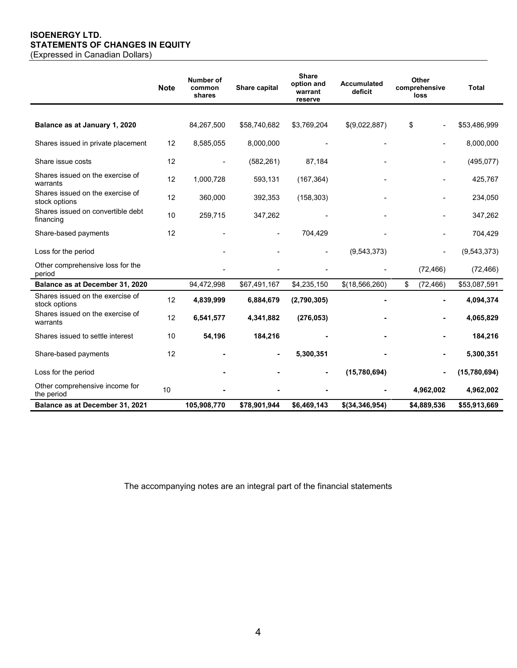# **ISOENERGY LTD. STATEMENTS OF CHANGES IN EQUITY**

(Expressed in Canadian Dollars)

|                                                   | <b>Note</b> | <b>Number of</b><br>common<br>shares | Share capital | <b>Share</b><br>option and<br>warrant<br>reserve | <b>Accumulated</b><br>deficit | Other<br>comprehensive<br>loss | <b>Total</b> |
|---------------------------------------------------|-------------|--------------------------------------|---------------|--------------------------------------------------|-------------------------------|--------------------------------|--------------|
|                                                   |             |                                      |               |                                                  |                               |                                |              |
| Balance as at January 1, 2020                     |             | 84,267,500                           | \$58,740,682  | \$3,769,204                                      | \$(9,022,887)                 | \$                             | \$53,486,999 |
| Shares issued in private placement                | 12          | 8,585,055                            | 8,000,000     |                                                  |                               |                                | 8,000,000    |
| Share issue costs                                 | 12          |                                      | (582, 261)    | 87,184                                           |                               |                                | (495, 077)   |
| Shares issued on the exercise of<br>warrants      | 12          | 1,000,728                            | 593,131       | (167, 364)                                       |                               |                                | 425,767      |
| Shares issued on the exercise of<br>stock options | 12          | 360,000                              | 392,353       | (158, 303)                                       |                               |                                | 234,050      |
| Shares issued on convertible debt<br>financing    | 10          | 259,715                              | 347,262       |                                                  |                               |                                | 347,262      |
| Share-based payments                              | 12          |                                      |               | 704,429                                          |                               |                                | 704,429      |
| Loss for the period                               |             |                                      |               |                                                  | (9,543,373)                   |                                | (9,543,373)  |
| Other comprehensive loss for the<br>period        |             |                                      |               |                                                  |                               | (72, 466)                      | (72, 466)    |
| Balance as at December 31, 2020                   |             | 94,472,998                           | \$67,491,167  | \$4,235,150                                      | \$(18,566,260)                | \$<br>(72, 466)                | \$53,087,591 |
| Shares issued on the exercise of<br>stock options | 12          | 4,839,999                            | 6,884,679     | (2,790,305)                                      |                               |                                | 4,094,374    |
| Shares issued on the exercise of<br>warrants      | 12          | 6,541,577                            | 4,341,882     | (276, 053)                                       |                               |                                | 4,065,829    |
| Shares issued to settle interest                  | 10          | 54,196                               | 184,216       |                                                  |                               |                                | 184,216      |
| Share-based payments                              | 12          |                                      |               | 5,300,351                                        |                               |                                | 5,300,351    |
| Loss for the period                               |             |                                      |               |                                                  | (15,780,694)                  |                                | (15,780,694) |
| Other comprehensive income for<br>the period      | 10          |                                      |               |                                                  |                               | 4,962,002                      | 4,962,002    |
| Balance as at December 31, 2021                   |             | 105,908,770                          | \$78,901,944  | \$6,469,143                                      | \$(34, 346, 954)              | \$4,889,536                    | \$55,913,669 |

The accompanying notes are an integral part of the financial statements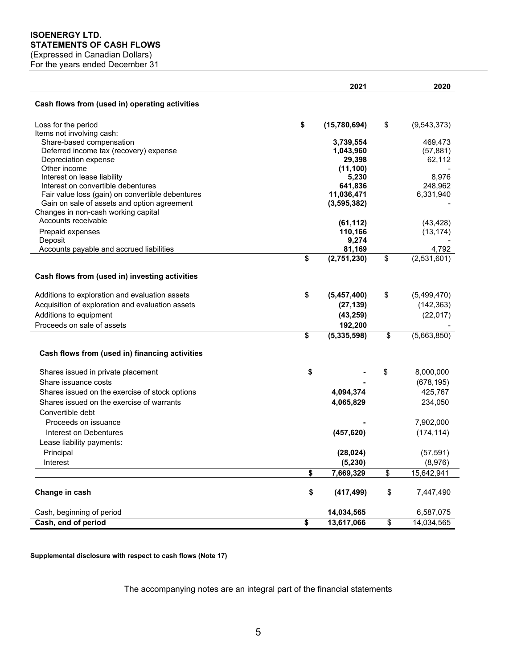**2021 2020 Cash flows from (used in) operating activities** Loss for the period **\$ (15,780,694)** \$ (9,543,373) Items not involving cash: Share-based compensation **3,739,554** 469,473 Deferred income tax (recovery) expense **1,043,960** (57,881) Depreciation expense **29,398** 62,112 Other income **(11,100)** - Interest on lease liability **5,230** 8,976<br>Interest on convertible debentures **5,230** 8,976<br>**5,230** 8,976 Interest on convertible debentures **641,836** 248,962<br>
Fair value loss (gain) on convertible debentures **6,331,940**<br> **6,331,940** 6,331,940 Fair value loss (gain) on convertible debentures **11,036,471 6,11,036,471 6,1332**<br>Gain on sale of assets and option agreement **1990 1,595,382** Gain on sale of assets and option agreement Changes in non-cash working capital Accounts receivable **(61,112)** (43,428) Prepaid expenses **110,166** (13,174) Deposit **9,274** - Accounts payable and accrued liabilities **81,169** 4,792 **\$ (2,751,230)** \$ (2,531,601) **Cash flows from (used in) investing activities** Additions to exploration and evaluation assets **\$ (5,457,400)** \$ (5,499,470) Acquisition of exploration and evaluation assets **(27,139)** (142,363) Additions to equipment **(43,259)** (22,017) Proceeds on sale of assets **192,200** - **\$ (5,335,598)** \$ (5,663,850) **Cash flows from (used in) financing activities** Shares issued in private placement **\$ -** \$ 8,000,000 Share issuance costs **-** (678,195) Shares issued on the exercise of stock options **4,094,374** 425,767 Shares issued on the exercise of warrants **4,065,829** 234,050 Convertible debt Proceeds on issuance **-** 7,902,000

**Supplemental disclosure with respect to cash flows (Note 17)**

Lease liability payments:

Cash, beginning of period

The accompanying notes are an integral part of the financial statements

Interest on Debentures **(457,620)** (174,114)

 Principal **(28,024)** (57,591) Interest **(5,230)** (8,976)

**Change in cash \$ (417,499)** \$ 7,447,490

**Cash, end of period \$ 13,617,066** \$ 14,034,565

**\$ 7,669,329** \$ 15,642,941

6,587,075

**14,034,565**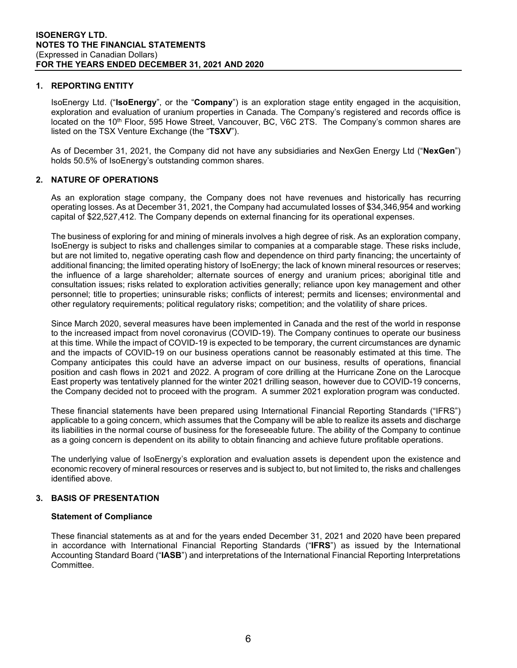#### **1. REPORTING ENTITY**

IsoEnergy Ltd. ("**IsoEnergy**", or the "**Company**") is an exploration stage entity engaged in the acquisition, exploration and evaluation of uranium properties in Canada. The Company's registered and records office is located on the 10<sup>th</sup> Floor, 595 Howe Street, Vancouver, BC, V6C 2TS. The Company's common shares are listed on the TSX Venture Exchange (the "**TSXV**").

As of December 31, 2021, the Company did not have any subsidiaries and NexGen Energy Ltd ("**NexGen**") holds 50.5% of IsoEnergy's outstanding common shares.

#### **2. NATURE OF OPERATIONS**

As an exploration stage company, the Company does not have revenues and historically has recurring operating losses. As at December 31, 2021, the Company had accumulated losses of \$34,346,954 and working capital of \$22,527,412. The Company depends on external financing for its operational expenses.

The business of exploring for and mining of minerals involves a high degree of risk. As an exploration company, IsoEnergy is subject to risks and challenges similar to companies at a comparable stage. These risks include, but are not limited to, negative operating cash flow and dependence on third party financing; the uncertainty of additional financing; the limited operating history of IsoEnergy; the lack of known mineral resources or reserves; the influence of a large shareholder; alternate sources of energy and uranium prices; aboriginal title and consultation issues; risks related to exploration activities generally; reliance upon key management and other personnel; title to properties; uninsurable risks; conflicts of interest; permits and licenses; environmental and other regulatory requirements; political regulatory risks; competition; and the volatility of share prices.

Since March 2020, several measures have been implemented in Canada and the rest of the world in response to the increased impact from novel coronavirus (COVID-19). The Company continues to operate our business at this time. While the impact of COVID-19 is expected to be temporary, the current circumstances are dynamic and the impacts of COVID-19 on our business operations cannot be reasonably estimated at this time. The Company anticipates this could have an adverse impact on our business, results of operations, financial position and cash flows in 2021 and 2022. A program of core drilling at the Hurricane Zone on the Larocque East property was tentatively planned for the winter 2021 drilling season, however due to COVID-19 concerns, the Company decided not to proceed with the program. A summer 2021 exploration program was conducted.

These financial statements have been prepared using International Financial Reporting Standards ("IFRS") applicable to a going concern, which assumes that the Company will be able to realize its assets and discharge its liabilities in the normal course of business for the foreseeable future. The ability of the Company to continue as a going concern is dependent on its ability to obtain financing and achieve future profitable operations.

The underlying value of IsoEnergy's exploration and evaluation assets is dependent upon the existence and economic recovery of mineral resources or reserves and is subject to, but not limited to, the risks and challenges identified above.

#### **3. BASIS OF PRESENTATION**

#### **Statement of Compliance**

These financial statements as at and for the years ended December 31, 2021 and 2020 have been prepared in accordance with International Financial Reporting Standards ("**IFRS**") as issued by the International Accounting Standard Board ("**IASB**") and interpretations of the International Financial Reporting Interpretations Committee.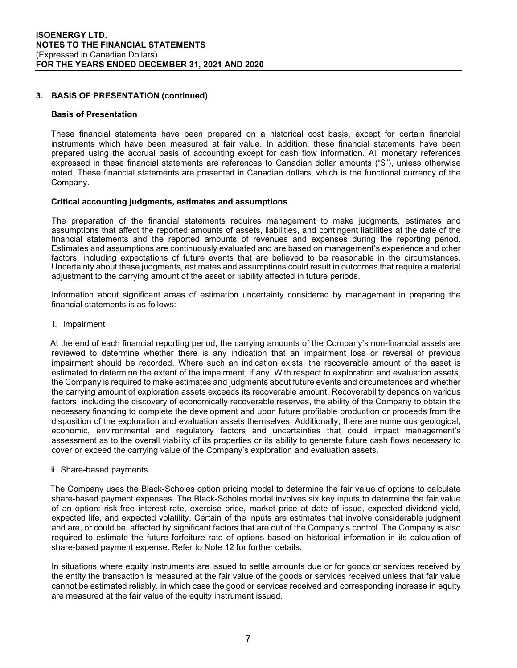#### **3. BASIS OF PRESENTATION (continued)**

#### **Basis of Presentation**

These financial statements have been prepared on a historical cost basis, except for certain financial instruments which have been measured at fair value. In addition, these financial statements have been prepared using the accrual basis of accounting except for cash flow information. All monetary references expressed in these financial statements are references to Canadian dollar amounts ("\$"), unless otherwise noted. These financial statements are presented in Canadian dollars, which is the functional currency of the Company.

#### **Critical accounting judgments, estimates and assumptions**

The preparation of the financial statements requires management to make judgments, estimates and assumptions that affect the reported amounts of assets, liabilities, and contingent liabilities at the date of the financial statements and the reported amounts of revenues and expenses during the reporting period. Estimates and assumptions are continuously evaluated and are based on management's experience and other factors, including expectations of future events that are believed to be reasonable in the circumstances. Uncertainty about these judgments, estimates and assumptions could result in outcomes that require a material adjustment to the carrying amount of the asset or liability affected in future periods.

Information about significant areas of estimation uncertainty considered by management in preparing the financial statements is as follows:

i. Impairment

At the end of each financial reporting period, the carrying amounts of the Company's non-financial assets are reviewed to determine whether there is any indication that an impairment loss or reversal of previous impairment should be recorded. Where such an indication exists, the recoverable amount of the asset is estimated to determine the extent of the impairment, if any. With respect to exploration and evaluation assets, the Company is required to make estimates and judgments about future events and circumstances and whether the carrying amount of exploration assets exceeds its recoverable amount. Recoverability depends on various factors, including the discovery of economically recoverable reserves, the ability of the Company to obtain the necessary financing to complete the development and upon future profitable production or proceeds from the disposition of the exploration and evaluation assets themselves. Additionally, there are numerous geological, economic, environmental and regulatory factors and uncertainties that could impact management's assessment as to the overall viability of its properties or its ability to generate future cash flows necessary to cover or exceed the carrying value of the Company's exploration and evaluation assets.

ii. Share-based payments

The Company uses the Black-Scholes option pricing model to determine the fair value of options to calculate share-based payment expenses. The Black-Scholes model involves six key inputs to determine the fair value of an option: risk-free interest rate, exercise price, market price at date of issue, expected dividend yield, expected life, and expected volatility. Certain of the inputs are estimates that involve considerable judgment and are, or could be, affected by significant factors that are out of the Company's control. The Company is also required to estimate the future forfeiture rate of options based on historical information in its calculation of share-based payment expense. Refer to Note 12 for further details.

In situations where equity instruments are issued to settle amounts due or for goods or services received by the entity the transaction is measured at the fair value of the goods or services received unless that fair value cannot be estimated reliably, in which case the good or services received and corresponding increase in equity are measured at the fair value of the equity instrument issued.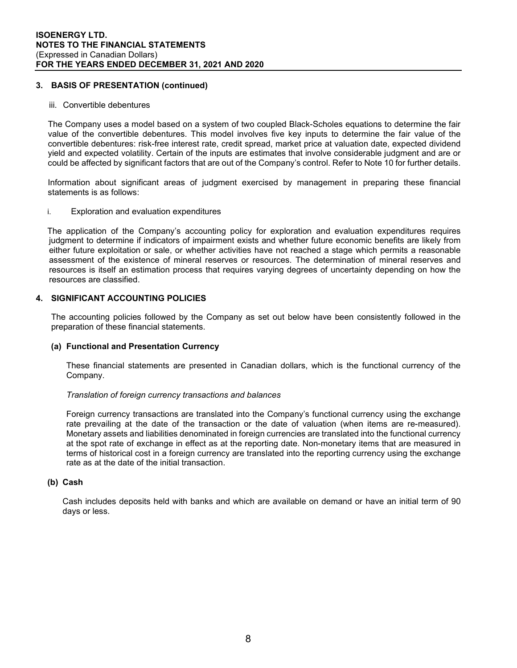#### **3. BASIS OF PRESENTATION (continued)**

#### iii. Convertible debentures

The Company uses a model based on a system of two coupled Black-Scholes equations to determine the fair value of the convertible debentures. This model involves five key inputs to determine the fair value of the convertible debentures: risk-free interest rate, credit spread, market price at valuation date, expected dividend yield and expected volatility. Certain of the inputs are estimates that involve considerable judgment and are or could be affected by significant factors that are out of the Company's control. Refer to Note 10 for further details.

Information about significant areas of judgment exercised by management in preparing these financial statements is as follows:

#### i. Exploration and evaluation expenditures

The application of the Company's accounting policy for exploration and evaluation expenditures requires judgment to determine if indicators of impairment exists and whether future economic benefits are likely from either future exploitation or sale, or whether activities have not reached a stage which permits a reasonable assessment of the existence of mineral reserves or resources. The determination of mineral reserves and resources is itself an estimation process that requires varying degrees of uncertainty depending on how the resources are classified.

#### **4. SIGNIFICANT ACCOUNTING POLICIES**

The accounting policies followed by the Company as set out below have been consistently followed in the preparation of these financial statements.

#### **(a) Functional and Presentation Currency**

These financial statements are presented in Canadian dollars, which is the functional currency of the Company.

#### *Translation of foreign currency transactions and balances*

Foreign currency transactions are translated into the Company's functional currency using the exchange rate prevailing at the date of the transaction or the date of valuation (when items are re-measured). Monetary assets and liabilities denominated in foreign currencies are translated into the functional currency at the spot rate of exchange in effect as at the reporting date. Non-monetary items that are measured in terms of historical cost in a foreign currency are translated into the reporting currency using the exchange rate as at the date of the initial transaction.

#### **(b) Cash**

Cash includes deposits held with banks and which are available on demand or have an initial term of 90 days or less.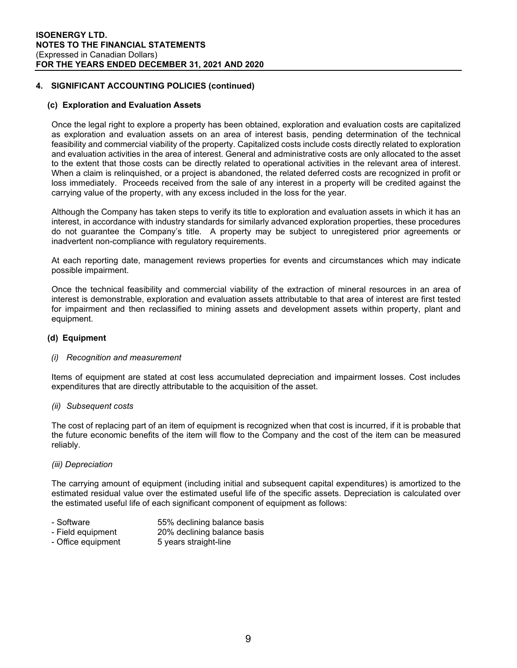#### **(c) Exploration and Evaluation Assets**

Once the legal right to explore a property has been obtained, exploration and evaluation costs are capitalized as exploration and evaluation assets on an area of interest basis, pending determination of the technical feasibility and commercial viability of the property. Capitalized costs include costs directly related to exploration and evaluation activities in the area of interest. General and administrative costs are only allocated to the asset to the extent that those costs can be directly related to operational activities in the relevant area of interest. When a claim is relinquished, or a project is abandoned, the related deferred costs are recognized in profit or loss immediately. Proceeds received from the sale of any interest in a property will be credited against the carrying value of the property, with any excess included in the loss for the year.

Although the Company has taken steps to verify its title to exploration and evaluation assets in which it has an interest, in accordance with industry standards for similarly advanced exploration properties, these procedures do not guarantee the Company's title. A property may be subject to unregistered prior agreements or inadvertent non-compliance with regulatory requirements.

At each reporting date, management reviews properties for events and circumstances which may indicate possible impairment.

Once the technical feasibility and commercial viability of the extraction of mineral resources in an area of interest is demonstrable, exploration and evaluation assets attributable to that area of interest are first tested for impairment and then reclassified to mining assets and development assets within property, plant and equipment.

#### **(d) Equipment**

#### *(i) Recognition and measurement*

Items of equipment are stated at cost less accumulated depreciation and impairment losses. Cost includes expenditures that are directly attributable to the acquisition of the asset.

#### *(ii) Subsequent costs*

The cost of replacing part of an item of equipment is recognized when that cost is incurred, if it is probable that the future economic benefits of the item will flow to the Company and the cost of the item can be measured reliably.

#### *(iii) Depreciation*

The carrying amount of equipment (including initial and subsequent capital expenditures) is amortized to the estimated residual value over the estimated useful life of the specific assets. Depreciation is calculated over the estimated useful life of each significant component of equipment as follows:

| - Software | 55% declining balance basis |
|------------|-----------------------------|
|------------|-----------------------------|

- Field equipment 20% declining balance basis
- 5 years straight-line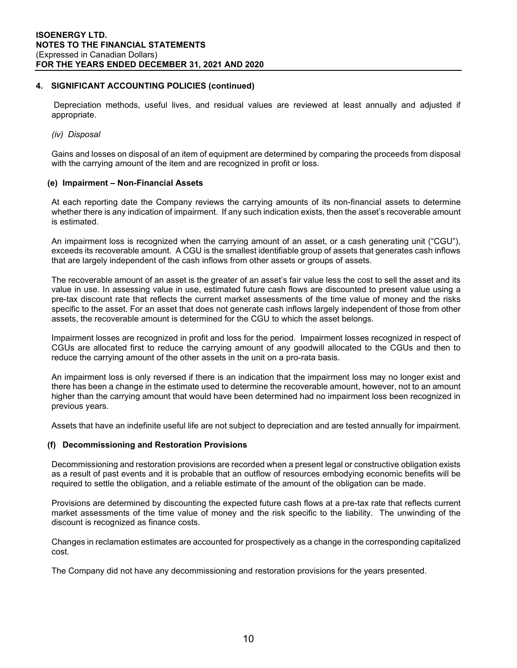Depreciation methods, useful lives, and residual values are reviewed at least annually and adjusted if appropriate.

#### *(iv) Disposal*

Gains and losses on disposal of an item of equipment are determined by comparing the proceeds from disposal with the carrying amount of the item and are recognized in profit or loss.

#### **(e) Impairment – Non-Financial Assets**

At each reporting date the Company reviews the carrying amounts of its non-financial assets to determine whether there is any indication of impairment. If any such indication exists, then the asset's recoverable amount is estimated.

An impairment loss is recognized when the carrying amount of an asset, or a cash generating unit ("CGU"), exceeds its recoverable amount. A CGU is the smallest identifiable group of assets that generates cash inflows that are largely independent of the cash inflows from other assets or groups of assets.

The recoverable amount of an asset is the greater of an asset's fair value less the cost to sell the asset and its value in use. In assessing value in use, estimated future cash flows are discounted to present value using a pre-tax discount rate that reflects the current market assessments of the time value of money and the risks specific to the asset. For an asset that does not generate cash inflows largely independent of those from other assets, the recoverable amount is determined for the CGU to which the asset belongs.

Impairment losses are recognized in profit and loss for the period. Impairment losses recognized in respect of CGUs are allocated first to reduce the carrying amount of any goodwill allocated to the CGUs and then to reduce the carrying amount of the other assets in the unit on a pro-rata basis.

An impairment loss is only reversed if there is an indication that the impairment loss may no longer exist and there has been a change in the estimate used to determine the recoverable amount, however, not to an amount higher than the carrying amount that would have been determined had no impairment loss been recognized in previous years.

Assets that have an indefinite useful life are not subject to depreciation and are tested annually for impairment.

#### **(f) Decommissioning and Restoration Provisions**

Decommissioning and restoration provisions are recorded when a present legal or constructive obligation exists as a result of past events and it is probable that an outflow of resources embodying economic benefits will be required to settle the obligation, and a reliable estimate of the amount of the obligation can be made.

Provisions are determined by discounting the expected future cash flows at a pre-tax rate that reflects current market assessments of the time value of money and the risk specific to the liability. The unwinding of the discount is recognized as finance costs.

Changes in reclamation estimates are accounted for prospectively as a change in the corresponding capitalized cost.

The Company did not have any decommissioning and restoration provisions for the years presented.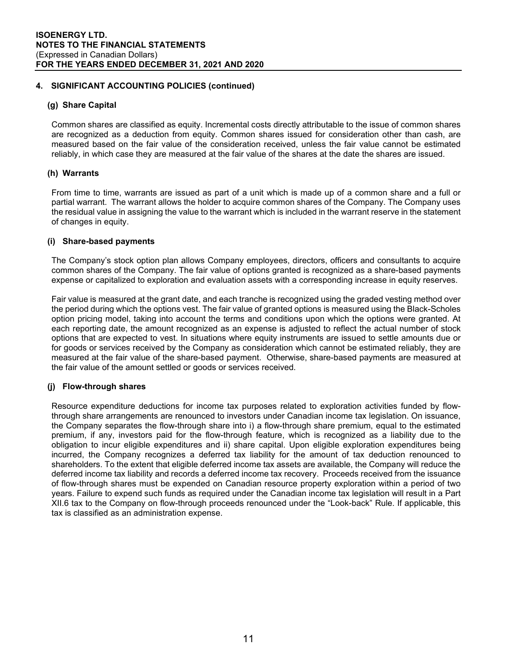#### **(g) Share Capital**

Common shares are classified as equity. Incremental costs directly attributable to the issue of common shares are recognized as a deduction from equity. Common shares issued for consideration other than cash, are measured based on the fair value of the consideration received, unless the fair value cannot be estimated reliably, in which case they are measured at the fair value of the shares at the date the shares are issued.

#### **(h) Warrants**

From time to time, warrants are issued as part of a unit which is made up of a common share and a full or partial warrant. The warrant allows the holder to acquire common shares of the Company. The Company uses the residual value in assigning the value to the warrant which is included in the warrant reserve in the statement of changes in equity.

#### **(i) Share-based payments**

The Company's stock option plan allows Company employees, directors, officers and consultants to acquire common shares of the Company. The fair value of options granted is recognized as a share-based payments expense or capitalized to exploration and evaluation assets with a corresponding increase in equity reserves.

Fair value is measured at the grant date, and each tranche is recognized using the graded vesting method over the period during which the options vest. The fair value of granted options is measured using the Black-Scholes option pricing model, taking into account the terms and conditions upon which the options were granted. At each reporting date, the amount recognized as an expense is adjusted to reflect the actual number of stock options that are expected to vest. In situations where equity instruments are issued to settle amounts due or for goods or services received by the Company as consideration which cannot be estimated reliably, they are measured at the fair value of the share-based payment. Otherwise, share-based payments are measured at the fair value of the amount settled or goods or services received.

#### **(j) Flow-through shares**

Resource expenditure deductions for income tax purposes related to exploration activities funded by flowthrough share arrangements are renounced to investors under Canadian income tax legislation. On issuance, the Company separates the flow-through share into i) a flow-through share premium, equal to the estimated premium, if any, investors paid for the flow-through feature, which is recognized as a liability due to the obligation to incur eligible expenditures and ii) share capital. Upon eligible exploration expenditures being incurred, the Company recognizes a deferred tax liability for the amount of tax deduction renounced to shareholders. To the extent that eligible deferred income tax assets are available, the Company will reduce the deferred income tax liability and records a deferred income tax recovery. Proceeds received from the issuance of flow-through shares must be expended on Canadian resource property exploration within a period of two years. Failure to expend such funds as required under the Canadian income tax legislation will result in a Part XII.6 tax to the Company on flow-through proceeds renounced under the "Look-back" Rule. If applicable, this tax is classified as an administration expense.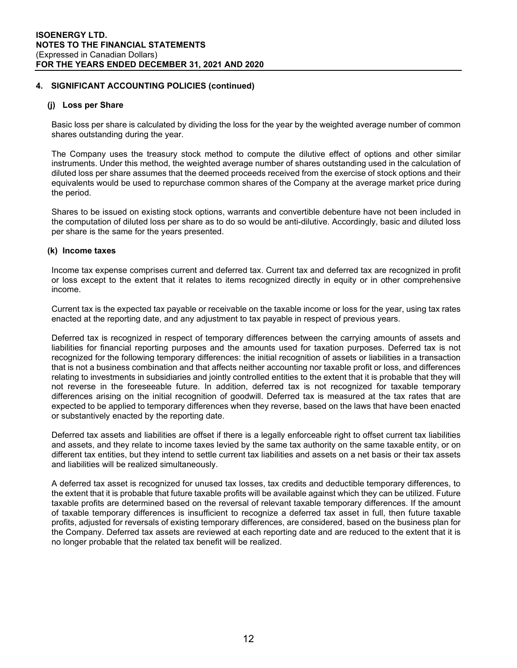#### **(j) Loss per Share**

Basic loss per share is calculated by dividing the loss for the year by the weighted average number of common shares outstanding during the year.

The Company uses the treasury stock method to compute the dilutive effect of options and other similar instruments. Under this method, the weighted average number of shares outstanding used in the calculation of diluted loss per share assumes that the deemed proceeds received from the exercise of stock options and their equivalents would be used to repurchase common shares of the Company at the average market price during the period.

Shares to be issued on existing stock options, warrants and convertible debenture have not been included in the computation of diluted loss per share as to do so would be anti-dilutive. Accordingly, basic and diluted loss per share is the same for the years presented.

#### **(k) Income taxes**

Income tax expense comprises current and deferred tax. Current tax and deferred tax are recognized in profit or loss except to the extent that it relates to items recognized directly in equity or in other comprehensive income.

Current tax is the expected tax payable or receivable on the taxable income or loss for the year, using tax rates enacted at the reporting date, and any adjustment to tax payable in respect of previous years.

Deferred tax is recognized in respect of temporary differences between the carrying amounts of assets and liabilities for financial reporting purposes and the amounts used for taxation purposes. Deferred tax is not recognized for the following temporary differences: the initial recognition of assets or liabilities in a transaction that is not a business combination and that affects neither accounting nor taxable profit or loss, and differences relating to investments in subsidiaries and jointly controlled entities to the extent that it is probable that they will not reverse in the foreseeable future. In addition, deferred tax is not recognized for taxable temporary differences arising on the initial recognition of goodwill. Deferred tax is measured at the tax rates that are expected to be applied to temporary differences when they reverse, based on the laws that have been enacted or substantively enacted by the reporting date.

Deferred tax assets and liabilities are offset if there is a legally enforceable right to offset current tax liabilities and assets, and they relate to income taxes levied by the same tax authority on the same taxable entity, or on different tax entities, but they intend to settle current tax liabilities and assets on a net basis or their tax assets and liabilities will be realized simultaneously.

A deferred tax asset is recognized for unused tax losses, tax credits and deductible temporary differences, to the extent that it is probable that future taxable profits will be available against which they can be utilized. Future taxable profits are determined based on the reversal of relevant taxable temporary differences. If the amount of taxable temporary differences is insufficient to recognize a deferred tax asset in full, then future taxable profits, adjusted for reversals of existing temporary differences, are considered, based on the business plan for the Company. Deferred tax assets are reviewed at each reporting date and are reduced to the extent that it is no longer probable that the related tax benefit will be realized.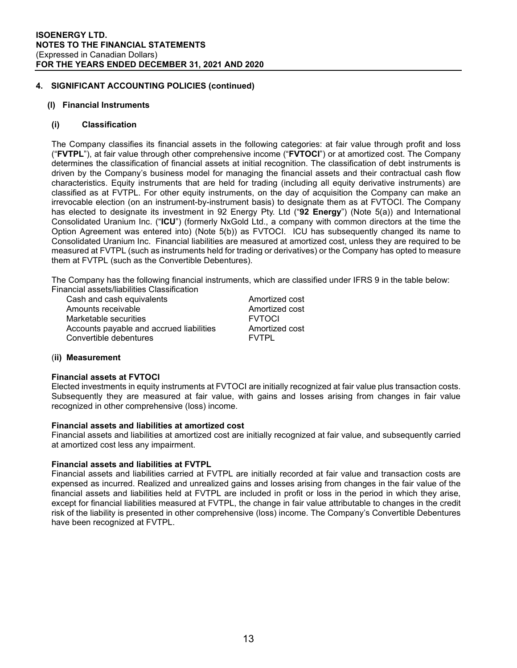#### **(l) Financial Instruments**

#### **(i) Classification**

The Company classifies its financial assets in the following categories: at fair value through profit and loss ("**FVTPL**"), at fair value through other comprehensive income ("**FVTOCI**") or at amortized cost. The Company determines the classification of financial assets at initial recognition. The classification of debt instruments is driven by the Company's business model for managing the financial assets and their contractual cash flow characteristics. Equity instruments that are held for trading (including all equity derivative instruments) are classified as at FVTPL. For other equity instruments, on the day of acquisition the Company can make an irrevocable election (on an instrument-by-instrument basis) to designate them as at FVTOCI. The Company has elected to designate its investment in 92 Energy Pty. Ltd ("**92 Energy**") (Note 5(a)) and International Consolidated Uranium Inc. ("**ICU**") (formerly NxGold Ltd., a company with common directors at the time the Option Agreement was entered into) (Note 5(b)) as FVTOCI. ICU has subsequently changed its name to Consolidated Uranium Inc. Financial liabilities are measured at amortized cost, unless they are required to be measured at FVTPL (such as instruments held for trading or derivatives) or the Company has opted to measure them at FVTPL (such as the Convertible Debentures).

The Company has the following financial instruments, which are classified under IFRS 9 in the table below:

Financial assets/liabilities Classification Cash and cash equivalents **Amortized cost**<br>Amounts receivable **Amortized** cost Amounts receivable Marketable securities **FVTOCI** Accounts payable and accrued liabilities **Amortized cost** Convertible debentures The Convertible debentures

#### (**ii) Measurement**

#### **Financial assets at FVTOCI**

Elected investments in equity instruments at FVTOCI are initially recognized at fair value plus transaction costs. Subsequently they are measured at fair value, with gains and losses arising from changes in fair value recognized in other comprehensive (loss) income.

#### **Financial assets and liabilities at amortized cost**

Financial assets and liabilities at amortized cost are initially recognized at fair value, and subsequently carried at amortized cost less any impairment.

#### **Financial assets and liabilities at FVTPL**

Financial assets and liabilities carried at FVTPL are initially recorded at fair value and transaction costs are expensed as incurred. Realized and unrealized gains and losses arising from changes in the fair value of the financial assets and liabilities held at FVTPL are included in profit or loss in the period in which they arise, except for financial liabilities measured at FVTPL, the change in fair value attributable to changes in the credit risk of the liability is presented in other comprehensive (loss) income. The Company's Convertible Debentures have been recognized at FVTPL.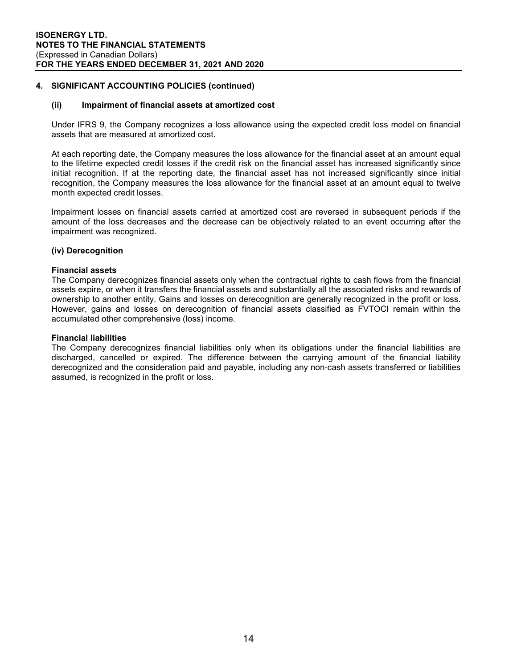#### **(ii) Impairment of financial assets at amortized cost**

Under IFRS 9, the Company recognizes a loss allowance using the expected credit loss model on financial assets that are measured at amortized cost.

At each reporting date, the Company measures the loss allowance for the financial asset at an amount equal to the lifetime expected credit losses if the credit risk on the financial asset has increased significantly since initial recognition. If at the reporting date, the financial asset has not increased significantly since initial recognition, the Company measures the loss allowance for the financial asset at an amount equal to twelve month expected credit losses.

Impairment losses on financial assets carried at amortized cost are reversed in subsequent periods if the amount of the loss decreases and the decrease can be objectively related to an event occurring after the impairment was recognized.

#### **(iv) Derecognition**

#### **Financial assets**

The Company derecognizes financial assets only when the contractual rights to cash flows from the financial assets expire, or when it transfers the financial assets and substantially all the associated risks and rewards of ownership to another entity. Gains and losses on derecognition are generally recognized in the profit or loss. However, gains and losses on derecognition of financial assets classified as FVTOCI remain within the accumulated other comprehensive (loss) income.

#### **Financial liabilities**

The Company derecognizes financial liabilities only when its obligations under the financial liabilities are discharged, cancelled or expired. The difference between the carrying amount of the financial liability derecognized and the consideration paid and payable, including any non-cash assets transferred or liabilities assumed, is recognized in the profit or loss.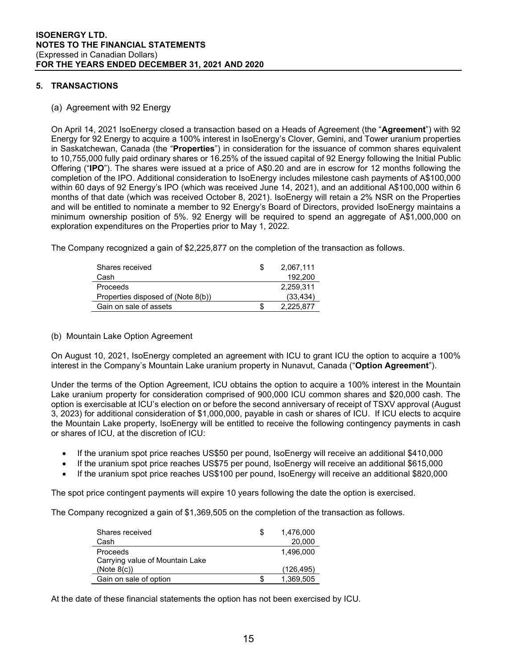#### **5. TRANSACTIONS**

#### (a) Agreement with 92 Energy

On April 14, 2021 IsoEnergy closed a transaction based on a Heads of Agreement (the "**Agreement**") with 92 Energy for 92 Energy to acquire a 100% interest in IsoEnergy's Clover, Gemini, and Tower uranium properties in Saskatchewan, Canada (the "**Properties**") in consideration for the issuance of common shares equivalent to 10,755,000 fully paid ordinary shares or 16.25% of the issued capital of 92 Energy following the Initial Public Offering ("**IPO**"). The shares were issued at a price of A\$0.20 and are in escrow for 12 months following the completion of the IPO. Additional consideration to IsoEnergy includes milestone cash payments of A\$100,000 within 60 days of 92 Energy's IPO (which was received June 14, 2021), and an additional A\$100,000 within 6 months of that date (which was received October 8, 2021). IsoEnergy will retain a 2% NSR on the Properties and will be entitled to nominate a member to 92 Energy's Board of Directors, provided IsoEnergy maintains a minimum ownership position of 5%. 92 Energy will be required to spend an aggregate of A\$1,000,000 on exploration expenditures on the Properties prior to May 1, 2022.

The Company recognized a gain of \$2,225,877 on the completion of the transaction as follows.

| Shares received                    | S | 2.067.111 |
|------------------------------------|---|-----------|
| Cash                               |   | 192.200   |
| Proceeds                           |   | 2.259.311 |
| Properties disposed of (Note 8(b)) |   | (33.434)  |
| Gain on sale of assets             |   | 2.225.877 |

#### (b) Mountain Lake Option Agreement

On August 10, 2021, IsoEnergy completed an agreement with ICU to grant ICU the option to acquire a 100% interest in the Company's Mountain Lake uranium property in Nunavut, Canada ("**Option Agreement**").

Under the terms of the Option Agreement, ICU obtains the option to acquire a 100% interest in the Mountain Lake uranium property for consideration comprised of 900,000 ICU common shares and \$20,000 cash. The option is exercisable at ICU's election on or before the second anniversary of receipt of TSXV approval (August 3, 2023) for additional consideration of \$1,000,000, payable in cash or shares of ICU. If ICU elects to acquire the Mountain Lake property, IsoEnergy will be entitled to receive the following contingency payments in cash or shares of ICU, at the discretion of ICU:

- If the uranium spot price reaches US\$50 per pound, IsoEnergy will receive an additional \$410,000
- If the uranium spot price reaches US\$75 per pound, IsoEnergy will receive an additional \$615,000
- If the uranium spot price reaches US\$100 per pound, IsoEnergy will receive an additional \$820,000

The spot price contingent payments will expire 10 years following the date the option is exercised.

The Company recognized a gain of \$1,369,505 on the completion of the transaction as follows.

| Shares received                 | S | 1.476.000 |
|---------------------------------|---|-----------|
| Cash                            |   | 20,000    |
| Proceeds                        |   | 1.496.000 |
| Carrying value of Mountain Lake |   |           |
| (Note 8(c))                     |   | (126,495) |
| Gain on sale of option          |   | 1,369,505 |

At the date of these financial statements the option has not been exercised by ICU.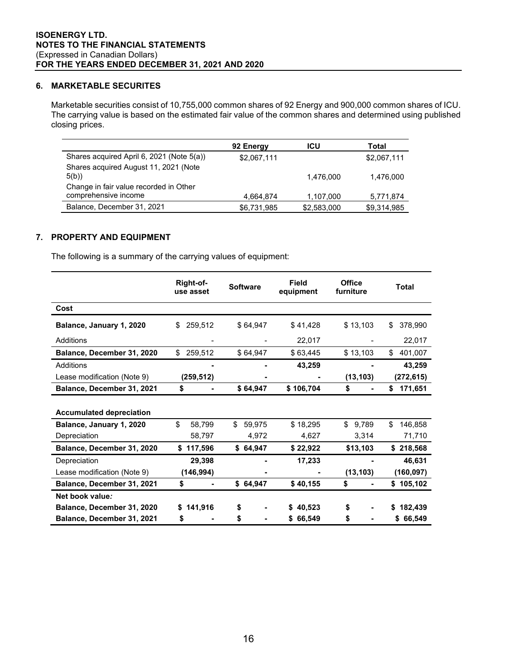#### **6. MARKETABLE SECURITES**

Marketable securities consist of 10,755,000 common shares of 92 Energy and 900,000 common shares of ICU. The carrying value is based on the estimated fair value of the common shares and determined using published closing prices.

|                                                                | 92 Energy   | ICU         | Total       |
|----------------------------------------------------------------|-------------|-------------|-------------|
| Shares acquired April 6, 2021 (Note 5(a))                      | \$2,067,111 |             | \$2,067,111 |
| Shares acquired August 11, 2021 (Note<br>5(b)                  |             | 1.476.000   | 1,476,000   |
| Change in fair value recorded in Other<br>comprehensive income | 4,664,874   | 1,107,000   | 5,771,874   |
| Balance, December 31, 2021                                     | \$6,731,985 | \$2,583,000 | \$9,314,985 |

### **7. PROPERTY AND EQUIPMENT**

The following is a summary of the carrying values of equipment:

|                                 | Right-of-<br>use asset | <b>Software</b> | Field<br>equipment | Office<br>furniture | <b>Total</b>  |
|---------------------------------|------------------------|-----------------|--------------------|---------------------|---------------|
| Cost                            |                        |                 |                    |                     |               |
| Balance, January 1, 2020        | \$<br>259,512          | \$64,947        | \$41,428           | \$13,103            | \$<br>378,990 |
| Additions                       |                        |                 | 22,017             |                     | 22,017        |
| Balance, December 31, 2020      | \$<br>259,512          | \$64,947        | \$63,445           | \$13,103            | \$<br>401,007 |
| Additions                       |                        |                 | 43,259             |                     | 43,259        |
| Lease modification (Note 9)     | (259, 512)             |                 |                    | (13, 103)           | (272,615)     |
| Balance, December 31, 2021      | \$                     | \$64,947        | \$106,704          | \$                  | 171,651<br>\$ |
| <b>Accumulated depreciation</b> |                        |                 |                    |                     |               |
| Balance, January 1, 2020        | \$<br>58,799           | \$<br>59,975    | \$18,295           | \$<br>9,789         | \$<br>146,858 |
| Depreciation                    | 58,797                 | 4,972           | 4,627              | 3,314               | 71,710        |
| Balance, December 31, 2020      | \$117,596              | \$64,947        | \$22,922           | \$13,103            | \$218,568     |
| Depreciation                    | 29,398                 |                 | 17,233             |                     | 46,631        |
| Lease modification (Note 9)     | (146,994)              |                 |                    | (13, 103)           | (160,097)     |
| Balance, December 31, 2021      | \$                     | \$64.947        | \$40,155           | \$                  | \$<br>105,102 |
| Net book value:                 |                        |                 |                    |                     |               |
| Balance, December 31, 2020      | 141,916<br>S           | \$              | 40,523<br>S        | \$                  | 182,439       |
| Balance, December 31, 2021      | \$                     | S               | 66,549<br>\$       | S                   | \$66,549      |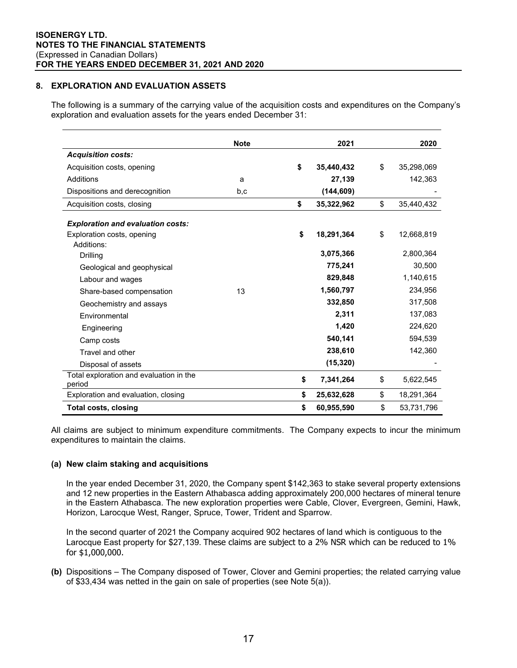#### **8. EXPLORATION AND EVALUATION ASSETS**

The following is a summary of the carrying value of the acquisition costs and expenditures on the Company's exploration and evaluation assets for the years ended December 31:

|                                                   | <b>Note</b> | 2021             | 2020             |
|---------------------------------------------------|-------------|------------------|------------------|
| <b>Acquisition costs:</b>                         |             |                  |                  |
| Acquisition costs, opening                        |             | \$<br>35,440,432 | \$<br>35,298,069 |
| Additions                                         | a           | 27,139           | 142,363          |
| Dispositions and derecognition                    | b,c         | (144, 609)       |                  |
| Acquisition costs, closing                        |             | \$<br>35,322,962 | \$<br>35,440,432 |
| <b>Exploration and evaluation costs:</b>          |             |                  |                  |
| Exploration costs, opening                        |             | \$<br>18,291,364 | \$<br>12,668,819 |
| Additions:<br>Drilling                            |             | 3,075,366        | 2,800,364        |
| Geological and geophysical                        |             | 775,241          | 30,500           |
| Labour and wages                                  |             | 829,848          | 1,140,615        |
| Share-based compensation                          | 13          | 1,560,797        | 234,956          |
| Geochemistry and assays                           |             | 332,850          | 317,508          |
| Environmental                                     |             | 2,311            | 137,083          |
| Engineering                                       |             | 1,420            | 224,620          |
| Camp costs                                        |             | 540,141          | 594,539          |
| Travel and other                                  |             | 238,610          | 142,360          |
| Disposal of assets                                |             | (15, 320)        |                  |
| Total exploration and evaluation in the<br>period |             | \$<br>7,341,264  | \$<br>5,622,545  |
| Exploration and evaluation, closing               |             | \$<br>25,632,628 | \$<br>18,291,364 |
| <b>Total costs, closing</b>                       |             | \$<br>60,955,590 | \$<br>53,731,796 |

All claims are subject to minimum expenditure commitments. The Company expects to incur the minimum expenditures to maintain the claims.

#### **(a) New claim staking and acquisitions**

In the year ended December 31, 2020, the Company spent \$142,363 to stake several property extensions and 12 new properties in the Eastern Athabasca adding approximately 200,000 hectares of mineral tenure in the Eastern Athabasca. The new exploration properties were Cable, Clover, Evergreen, Gemini, Hawk, Horizon, Larocque West, Ranger, Spruce, Tower, Trident and Sparrow.

In the second quarter of 2021 the Company acquired 902 hectares of land which is contiguous to the Larocque East property for \$27,139. These claims are subject to a 2% NSR which can be reduced to 1% for \$1,000,000.

**(b)** Dispositions – The Company disposed of Tower, Clover and Gemini properties; the related carrying value of \$33,434 was netted in the gain on sale of properties (see Note 5(a)).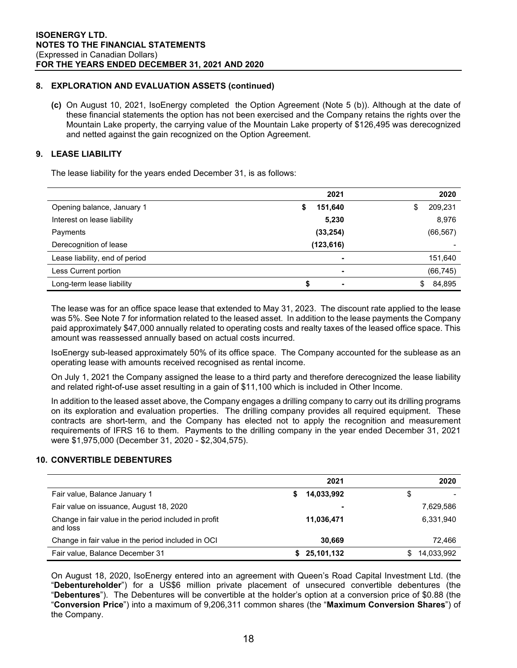#### **8. EXPLORATION AND EVALUATION ASSETS (continued)**

**(c)** On August 10, 2021, IsoEnergy completed the Option Agreement (Note 5 (b)). Although at the date of these financial statements the option has not been exercised and the Company retains the rights over the Mountain Lake property, the carrying value of the Mountain Lake property of \$126,495 was derecognized and netted against the gain recognized on the Option Agreement.

#### **9. LEASE LIABILITY**

The lease liability for the years ended December 31, is as follows:

|                                | 2021                     | 2020          |
|--------------------------------|--------------------------|---------------|
| Opening balance, January 1     | 151,640<br>\$            | 209,231<br>\$ |
| Interest on lease liability    | 5,230                    | 8,976         |
| Payments                       | (33, 254)                | (66, 567)     |
| Derecognition of lease         | (123, 616)               |               |
| Lease liability, end of period | ۰                        | 151,640       |
| Less Current portion           | $\overline{\phantom{0}}$ | (66, 745)     |
| Long-term lease liability      | S                        | 84,895<br>\$  |

The lease was for an office space lease that extended to May 31, 2023. The discount rate applied to the lease was 5%. See Note 7 for information related to the leased asset. In addition to the lease payments the Company paid approximately \$47,000 annually related to operating costs and realty taxes of the leased office space. This amount was reassessed annually based on actual costs incurred.

IsoEnergy sub-leased approximately 50% of its office space. The Company accounted for the sublease as an operating lease with amounts received recognised as rental income.

On July 1, 2021 the Company assigned the lease to a third party and therefore derecognized the lease liability and related right-of-use asset resulting in a gain of \$11,100 which is included in Other Income.

In addition to the leased asset above, the Company engages a drilling company to carry out its drilling programs on its exploration and evaluation properties. The drilling company provides all required equipment. These contracts are short-term, and the Company has elected not to apply the recognition and measurement requirements of IFRS 16 to them. Payments to the drilling company in the year ended December 31, 2021 were \$1,975,000 (December 31, 2020 - \$2,304,575).

#### **10. CONVERTIBLE DEBENTURES**

|                                                                   | 2021           | 2020            |
|-------------------------------------------------------------------|----------------|-----------------|
| Fair value, Balance January 1                                     | 14,033,992     | \$              |
| Fair value on issuance, August 18, 2020                           | $\blacksquare$ | 7,629,586       |
| Change in fair value in the period included in profit<br>and loss | 11.036,471     | 6,331,940       |
| Change in fair value in the period included in OCI                | 30,669         | 72.466          |
| Fair value, Balance December 31                                   | 25,101,132     | 14,033,992<br>S |

On August 18, 2020, IsoEnergy entered into an agreement with Queen's Road Capital Investment Ltd. (the "**Debentureholder**") for a US\$6 million private placement of unsecured convertible debentures (the "**Debentures**"). The Debentures will be convertible at the holder's option at a conversion price of \$0.88 (the "**Conversion Price**") into a maximum of 9,206,311 common shares (the "**Maximum Conversion Shares**") of the Company.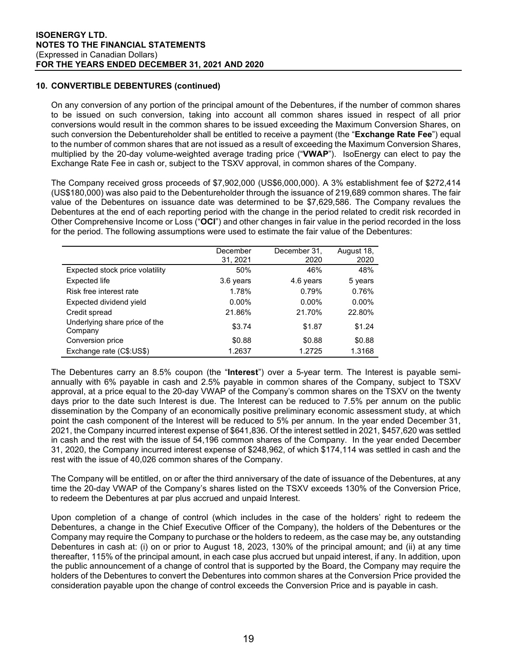#### **10. CONVERTIBLE DEBENTURES (continued)**

On any conversion of any portion of the principal amount of the Debentures, if the number of common shares to be issued on such conversion, taking into account all common shares issued in respect of all prior conversions would result in the common shares to be issued exceeding the Maximum Conversion Shares, on such conversion the Debentureholder shall be entitled to receive a payment (the "**Exchange Rate Fee**") equal to the number of common shares that are not issued as a result of exceeding the Maximum Conversion Shares, multiplied by the 20-day volume-weighted average trading price ("**VWAP**"). IsoEnergy can elect to pay the Exchange Rate Fee in cash or, subject to the TSXV approval, in common shares of the Company.

The Company received gross proceeds of \$7,902,000 (US\$6,000,000). A 3% establishment fee of \$272,414 (US\$180,000) was also paid to the Debentureholder through the issuance of 219,689 common shares. The fair value of the Debentures on issuance date was determined to be \$7,629,586. The Company revalues the Debentures at the end of each reporting period with the change in the period related to credit risk recorded in Other Comprehensive Income or Loss ("**OCI**") and other changes in fair value in the period recorded in the loss for the period. The following assumptions were used to estimate the fair value of the Debentures:

|                                          | December<br>31, 2021 | December 31,<br>2020 | August 18,<br>2020 |
|------------------------------------------|----------------------|----------------------|--------------------|
| Expected stock price volatility          | 50%                  | 46%                  | 48%                |
| <b>Expected life</b>                     | 3.6 years            | 4.6 years            | 5 years            |
| Risk free interest rate                  | 1.78%                | 0.79%                | 0.76%              |
| Expected dividend yield                  | $0.00\%$             | $0.00\%$             | $0.00\%$           |
| Credit spread                            | 21.86%               | 21.70%               | 22.80%             |
| Underlying share price of the<br>Company | \$3.74               | \$1.87               | \$1.24             |
| Conversion price                         | \$0.88               | \$0.88               | \$0.88             |
| Exchange rate (C\$:US\$)                 | 1.2637               | 1.2725               | 1.3168             |

The Debentures carry an 8.5% coupon (the "**Interest**") over a 5-year term. The Interest is payable semiannually with 6% payable in cash and 2.5% payable in common shares of the Company, subject to TSXV approval, at a price equal to the 20-day VWAP of the Company's common shares on the TSXV on the twenty days prior to the date such Interest is due. The Interest can be reduced to 7.5% per annum on the public dissemination by the Company of an economically positive preliminary economic assessment study, at which point the cash component of the Interest will be reduced to 5% per annum. In the year ended December 31, 2021, the Company incurred interest expense of \$641,836. Of the interest settled in 2021, \$457,620 was settled in cash and the rest with the issue of 54,196 common shares of the Company. In the year ended December 31, 2020, the Company incurred interest expense of \$248,962, of which \$174,114 was settled in cash and the rest with the issue of 40,026 common shares of the Company.

The Company will be entitled, on or after the third anniversary of the date of issuance of the Debentures, at any time the 20-day VWAP of the Company's shares listed on the TSXV exceeds 130% of the Conversion Price, to redeem the Debentures at par plus accrued and unpaid Interest.

Upon completion of a change of control (which includes in the case of the holders' right to redeem the Debentures, a change in the Chief Executive Officer of the Company), the holders of the Debentures or the Company may require the Company to purchase or the holders to redeem, as the case may be, any outstanding Debentures in cash at: (i) on or prior to August 18, 2023, 130% of the principal amount; and (ii) at any time thereafter, 115% of the principal amount, in each case plus accrued but unpaid interest, if any. In addition, upon the public announcement of a change of control that is supported by the Board, the Company may require the holders of the Debentures to convert the Debentures into common shares at the Conversion Price provided the consideration payable upon the change of control exceeds the Conversion Price and is payable in cash.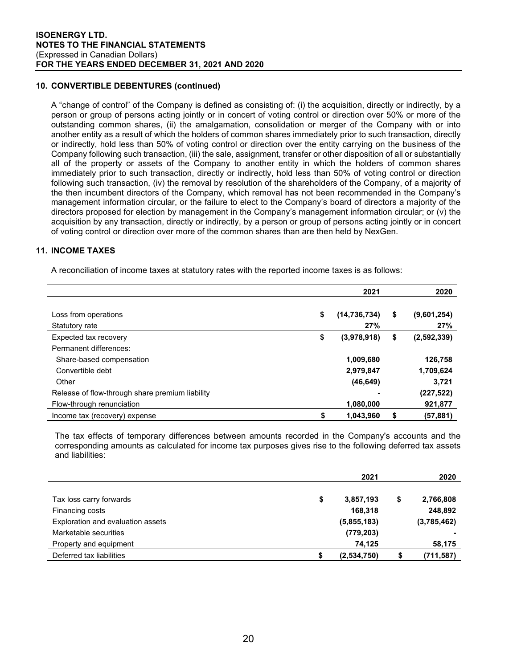#### **10. CONVERTIBLE DEBENTURES (continued)**

A "change of control" of the Company is defined as consisting of: (i) the acquisition, directly or indirectly, by a person or group of persons acting jointly or in concert of voting control or direction over 50% or more of the outstanding common shares, (ii) the amalgamation, consolidation or merger of the Company with or into another entity as a result of which the holders of common shares immediately prior to such transaction, directly or indirectly, hold less than 50% of voting control or direction over the entity carrying on the business of the Company following such transaction, (iii) the sale, assignment, transfer or other disposition of all or substantially all of the property or assets of the Company to another entity in which the holders of common shares immediately prior to such transaction, directly or indirectly, hold less than 50% of voting control or direction following such transaction, (iv) the removal by resolution of the shareholders of the Company, of a majority of the then incumbent directors of the Company, which removal has not been recommended in the Company's management information circular, or the failure to elect to the Company's board of directors a majority of the directors proposed for election by management in the Company's management information circular; or (v) the acquisition by any transaction, directly or indirectly, by a person or group of persons acting jointly or in concert of voting control or direction over more of the common shares than are then held by NexGen.

#### **11. INCOME TAXES**

A reconciliation of income taxes at statutory rates with the reported income taxes is as follows:

|                                                 | 2021                 | 2020              |
|-------------------------------------------------|----------------------|-------------------|
|                                                 |                      |                   |
| Loss from operations                            | \$<br>(14, 736, 734) | \$<br>(9,601,254) |
| Statutory rate                                  | 27%                  | 27%               |
| Expected tax recovery                           | \$<br>(3,978,918)    | \$<br>(2,592,339) |
| Permanent differences:                          |                      |                   |
| Share-based compensation                        | 1,009,680            | 126,758           |
| Convertible debt                                | 2,979,847            | 1,709,624         |
| Other                                           | (46, 649)            | 3,721             |
| Release of flow-through share premium liability |                      | (227, 522)        |
| Flow-through renunciation                       | 1,080,000            | 921,877           |
| Income tax (recovery) expense                   | \$<br>1,043,960      | (57, 881)         |

The tax effects of temporary differences between amounts recorded in the Company's accounts and the corresponding amounts as calculated for income tax purposes gives rise to the following deferred tax assets and liabilities:

|                                   | 2021            | 2020            |
|-----------------------------------|-----------------|-----------------|
|                                   |                 |                 |
| Tax loss carry forwards           | \$<br>3,857,193 | \$<br>2,766,808 |
| Financing costs                   | 168,318         | 248,892         |
| Exploration and evaluation assets | (5,855,183)     | (3,785,462)     |
| Marketable securities             | (779, 203)      |                 |
| Property and equipment            | 74,125          | 58,175          |
| Deferred tax liabilities          | (2,534,750)     | (711, 587)      |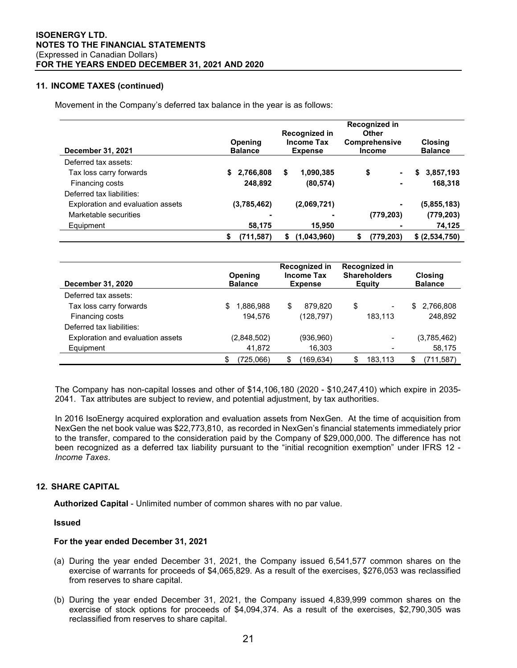#### **11. INCOME TAXES (continued)**

Movement in the Company's deferred tax balance in the year is as follows:

| December 31, 2021                 | <b>Opening</b><br><b>Balance</b> | Recognized in<br><b>Income Tax</b><br><b>Expense</b> | Recognized in<br><b>Other</b><br>Comprehensive<br><b>Income</b> | <b>Closing</b><br><b>Balance</b> |
|-----------------------------------|----------------------------------|------------------------------------------------------|-----------------------------------------------------------------|----------------------------------|
| Deferred tax assets:              |                                  |                                                      |                                                                 |                                  |
| Tax loss carry forwards           | 2,766,808<br>S.                  | S<br>1,090,385                                       | \$                                                              | 3,857,193<br>S.                  |
| Financing costs                   | 248,892                          | (80, 574)                                            |                                                                 | 168,318                          |
| Deferred tax liabilities:         |                                  |                                                      |                                                                 |                                  |
| Exploration and evaluation assets | (3,785,462)                      | (2,069,721)                                          |                                                                 | (5,855,183)                      |
| Marketable securities             |                                  | ۰                                                    | (779, 203)                                                      | (779, 203)                       |
| Equipment                         | 58,175                           | 15,950                                               |                                                                 | 74,125                           |
|                                   | (711, 587)                       | (1,043,960)<br>S                                     | (779,203)                                                       | \$ (2,534,750)                   |

| December 31, 2020                 | Opening<br><b>Balance</b> | Recognized in<br><b>Income Tax</b><br><b>Expense</b> | Recognized in<br><b>Shareholders</b><br><b>Equity</b> | <b>Closing</b><br><b>Balance</b> |
|-----------------------------------|---------------------------|------------------------------------------------------|-------------------------------------------------------|----------------------------------|
| Deferred tax assets:              |                           |                                                      |                                                       |                                  |
| Tax loss carry forwards           | 1,886,988<br>\$           | 879.820<br>\$                                        | \$                                                    | 2,766,808<br>SS.                 |
| Financing costs                   | 194.576                   | (128, 797)                                           | 183.113                                               | 248.892                          |
| Deferred tax liabilities:         |                           |                                                      |                                                       |                                  |
| Exploration and evaluation assets | (2,848,502)               | (936,960)                                            |                                                       | (3,785,462)                      |
| Equipment                         | 41,872                    | 16,303                                               |                                                       | 58,175                           |
|                                   | (725,066)                 | (169,634)<br>S                                       | 183,113                                               | (711,587)                        |

The Company has non-capital losses and other of \$14,106,180 (2020 - \$10,247,410) which expire in 2035- 2041. Tax attributes are subject to review, and potential adjustment, by tax authorities.

In 2016 IsoEnergy acquired exploration and evaluation assets from NexGen. At the time of acquisition from NexGen the net book value was \$22,773,810, as recorded in NexGen's financial statements immediately prior to the transfer, compared to the consideration paid by the Company of \$29,000,000. The difference has not been recognized as a deferred tax liability pursuant to the "initial recognition exemption" under IFRS 12 - *Income Taxes*.

#### **12. SHARE CAPITAL**

**Authorized Capital** - Unlimited number of common shares with no par value.

**Issued** 

#### **For the year ended December 31, 2021**

- (a) During the year ended December 31, 2021, the Company issued 6,541,577 common shares on the exercise of warrants for proceeds of \$4,065,829. As a result of the exercises, \$276,053 was reclassified from reserves to share capital.
- (b) During the year ended December 31, 2021, the Company issued 4,839,999 common shares on the exercise of stock options for proceeds of \$4,094,374. As a result of the exercises, \$2,790,305 was reclassified from reserves to share capital.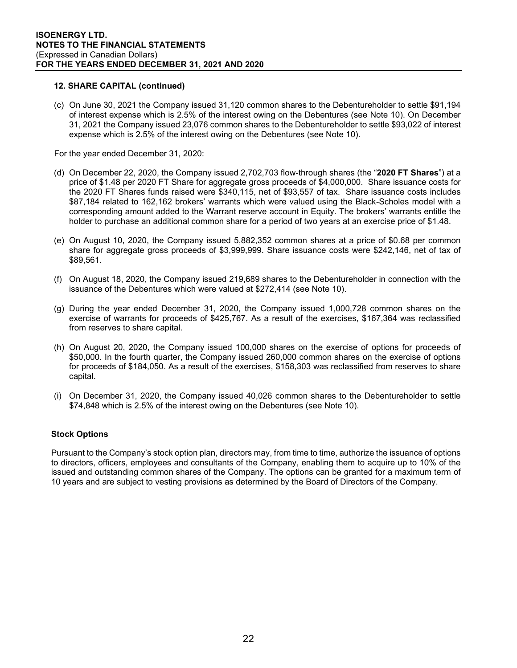#### **12. SHARE CAPITAL (continued)**

(c) On June 30, 2021 the Company issued 31,120 common shares to the Debentureholder to settle \$91,194 of interest expense which is 2.5% of the interest owing on the Debentures (see Note 10). On December 31, 2021 the Company issued 23,076 common shares to the Debentureholder to settle \$93,022 of interest expense which is 2.5% of the interest owing on the Debentures (see Note 10).

For the year ended December 31, 2020:

- (d) On December 22, 2020, the Company issued 2,702,703 flow-through shares (the "**2020 FT Shares**") at a price of \$1.48 per 2020 FT Share for aggregate gross proceeds of \$4,000,000. Share issuance costs for the 2020 FT Shares funds raised were \$340,115, net of \$93,557 of tax. Share issuance costs includes \$87,184 related to 162,162 brokers' warrants which were valued using the Black-Scholes model with a corresponding amount added to the Warrant reserve account in Equity. The brokers' warrants entitle the holder to purchase an additional common share for a period of two years at an exercise price of \$1.48.
- (e) On August 10, 2020, the Company issued 5,882,352 common shares at a price of \$0.68 per common share for aggregate gross proceeds of \$3,999,999. Share issuance costs were \$242,146, net of tax of \$89,561.
- (f) On August 18, 2020, the Company issued 219,689 shares to the Debentureholder in connection with the issuance of the Debentures which were valued at \$272,414 (see Note 10).
- (g) During the year ended December 31, 2020, the Company issued 1,000,728 common shares on the exercise of warrants for proceeds of \$425,767. As a result of the exercises, \$167,364 was reclassified from reserves to share capital.
- (h) On August 20, 2020, the Company issued 100,000 shares on the exercise of options for proceeds of \$50,000. In the fourth quarter, the Company issued 260,000 common shares on the exercise of options for proceeds of \$184,050. As a result of the exercises, \$158,303 was reclassified from reserves to share capital.
- (i) On December 31, 2020, the Company issued 40,026 common shares to the Debentureholder to settle \$74,848 which is 2.5% of the interest owing on the Debentures (see Note 10).

#### **Stock Options**

Pursuant to the Company's stock option plan, directors may, from time to time, authorize the issuance of options to directors, officers, employees and consultants of the Company, enabling them to acquire up to 10% of the issued and outstanding common shares of the Company. The options can be granted for a maximum term of 10 years and are subject to vesting provisions as determined by the Board of Directors of the Company.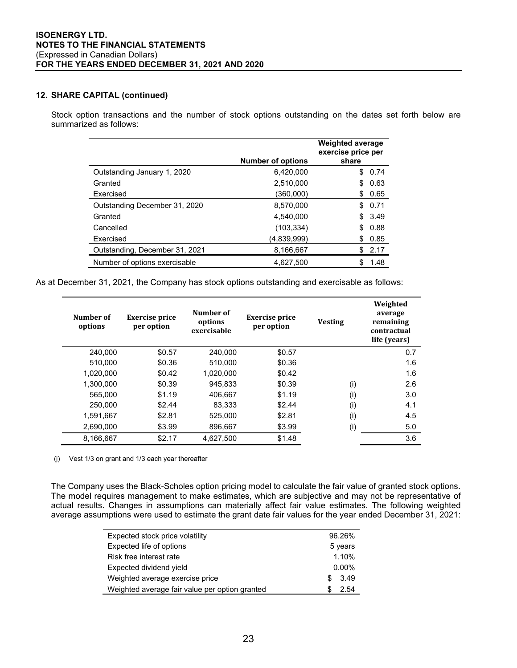#### **12. SHARE CAPITAL (continued)**

Stock option transactions and the number of stock options outstanding on the dates set forth below are summarized as follows:

|                                | <b>Number of options</b> | <b>Weighted average</b><br>exercise price per<br>share |
|--------------------------------|--------------------------|--------------------------------------------------------|
| Outstanding January 1, 2020    | 6.420.000                | 0.74<br>\$.                                            |
| Granted                        | 2.510.000                | 0.63<br>S                                              |
| Exercised                      | (360,000)                | 0.65<br>S                                              |
| Outstanding December 31, 2020  | 8,570,000                | 0.71<br>S                                              |
| Granted                        | 4.540.000                | 3.49<br>SS.                                            |
| Cancelled                      | (103, 334)               | 0.88<br>S                                              |
| Exercised                      | (4,839,999)              | 0.85<br>S                                              |
| Outstanding, December 31, 2021 | 8,166,667                | 2.17<br>S                                              |
| Number of options exercisable  | 4.627.500                | 1.48<br>5                                              |

As at December 31, 2021, the Company has stock options outstanding and exercisable as follows:

| Number of<br>options | <b>Exercise price</b><br>per option | Number of<br>options<br>exercisable | <b>Exercise price</b><br>per option | <b>Vesting</b> | Weighted<br>average<br>remaining<br>contractual<br>life (years) |
|----------------------|-------------------------------------|-------------------------------------|-------------------------------------|----------------|-----------------------------------------------------------------|
| 240,000              | \$0.57                              | 240,000                             | \$0.57                              |                | 0.7                                                             |
| 510.000              | \$0.36                              | 510.000                             | \$0.36                              |                | 1.6                                                             |
| 1,020,000            | \$0.42                              | 1.020.000                           | \$0.42                              |                | 1.6                                                             |
| 1.300.000            | \$0.39                              | 945.833                             | \$0.39                              | (i)            | 2.6                                                             |
| 565.000              | \$1.19                              | 406.667                             | \$1.19                              | (i)            | 3.0                                                             |
| 250,000              | \$2.44                              | 83,333                              | \$2.44                              | (i)            | 4.1                                                             |
| 1,591,667            | \$2.81                              | 525,000                             | \$2.81                              | (i)            | 4.5                                                             |
| 2,690,000            | \$3.99                              | 896,667                             | \$3.99                              | (i)            | 5.0                                                             |
| 8,166,667            | \$2.17                              | 4,627,500                           | \$1.48                              |                | 3.6                                                             |

(j) Vest 1/3 on grant and 1/3 each year thereafter

The Company uses the Black-Scholes option pricing model to calculate the fair value of granted stock options. The model requires management to make estimates, which are subjective and may not be representative of actual results. Changes in assumptions can materially affect fair value estimates. The following weighted average assumptions were used to estimate the grant date fair values for the year ended December 31, 2021:

| Expected stock price volatility                | 96.26%     |
|------------------------------------------------|------------|
| Expected life of options                       | 5 years    |
| Risk free interest rate                        | 1.10%      |
| Expected dividend yield                        | $0.00\%$   |
| Weighted average exercise price                | 3.49<br>\$ |
| Weighted average fair value per option granted | 2.54       |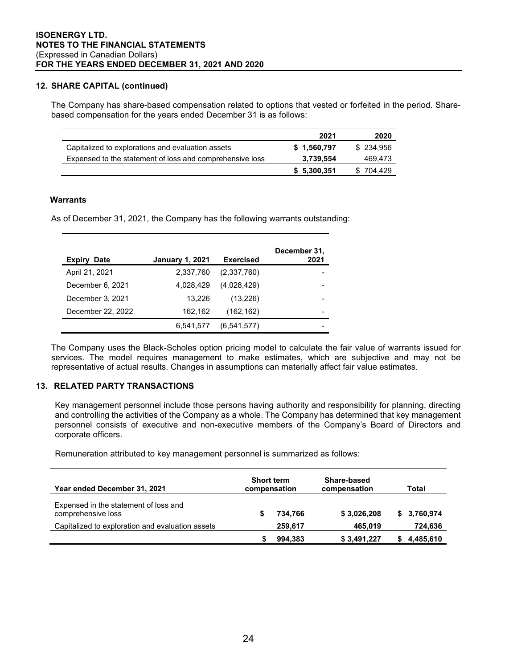#### **12. SHARE CAPITAL (continued)**

The Company has share-based compensation related to options that vested or forfeited in the period. Sharebased compensation for the years ended December 31 is as follows:

|                                                          | 2021        | 2020      |
|----------------------------------------------------------|-------------|-----------|
| Capitalized to explorations and evaluation assets        | \$1,560,797 | \$234,956 |
| Expensed to the statement of loss and comprehensive loss | 3,739,554   | 469,473   |
|                                                          | \$5,300,351 | \$704,429 |

#### **Warrants**

As of December 31, 2021, the Company has the following warrants outstanding:

| <b>Expiry</b><br>Date | <b>January 1, 2021</b> | <b>Exercised</b> | December 31,<br>2021 |
|-----------------------|------------------------|------------------|----------------------|
| April 21, 2021        | 2,337,760              | (2,337,760)      |                      |
| December 6, 2021      | 4,028,429              | (4,028,429)      |                      |
| December 3, 2021      | 13.226                 | (13,226)         |                      |
| December 22, 2022     | 162,162                | (162, 162)       |                      |
|                       | 6,541,577              | (6,541,577)      |                      |

The Company uses the Black-Scholes option pricing model to calculate the fair value of warrants issued for services. The model requires management to make estimates, which are subjective and may not be representative of actual results. Changes in assumptions can materially affect fair value estimates.

#### **13. RELATED PARTY TRANSACTIONS**

Key management personnel include those persons having authority and responsibility for planning, directing and controlling the activities of the Company as a whole. The Company has determined that key management personnel consists of executive and non-executive members of the Company's Board of Directors and corporate officers.

Remuneration attributed to key management personnel is summarized as follows:

| Year ended December 31, 2021                                |   | <b>Short term</b><br>compensation | Share-based<br>compensation | Total       |
|-------------------------------------------------------------|---|-----------------------------------|-----------------------------|-------------|
| Expensed in the statement of loss and<br>comprehensive loss | S | 734.766                           | \$3,026,208                 | \$3,760,974 |
| Capitalized to exploration and evaluation assets            |   | 259.617                           | 465.019                     | 724,636     |
|                                                             |   | 994,383                           | \$3,491,227                 | 4,485,610   |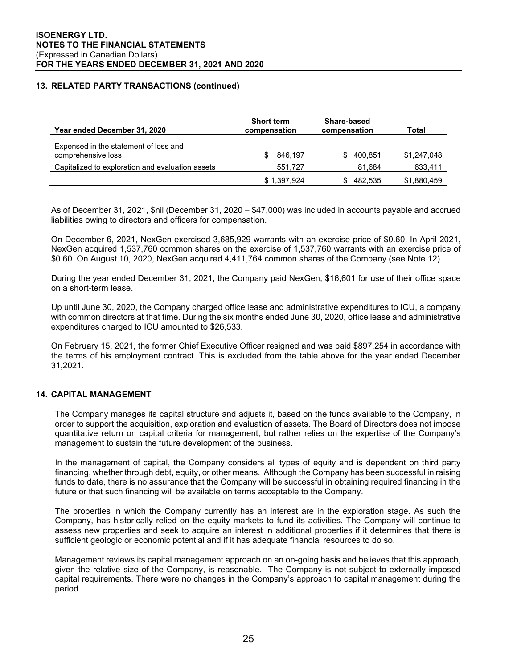#### **13. RELATED PARTY TRANSACTIONS (continued)**

| Year ended December 31, 2020                                | <b>Short term</b><br>compensation | Share-based<br>compensation | Total       |
|-------------------------------------------------------------|-----------------------------------|-----------------------------|-------------|
| Expensed in the statement of loss and<br>comprehensive loss | 846,197                           | 400.851<br>S.               | \$1,247,048 |
| Capitalized to exploration and evaluation assets            | 551,727                           | 81.684                      | 633,411     |
|                                                             | \$1,397,924                       | 482,535<br>\$.              | \$1,880,459 |

As of December 31, 2021, \$nil (December 31, 2020 – \$47,000) was included in accounts payable and accrued liabilities owing to directors and officers for compensation.

On December 6, 2021, NexGen exercised 3,685,929 warrants with an exercise price of \$0.60. In April 2021, NexGen acquired 1,537,760 common shares on the exercise of 1,537,760 warrants with an exercise price of \$0.60. On August 10, 2020, NexGen acquired 4,411,764 common shares of the Company (see Note 12).

During the year ended December 31, 2021, the Company paid NexGen, \$16,601 for use of their office space on a short-term lease.

Up until June 30, 2020, the Company charged office lease and administrative expenditures to ICU, a company with common directors at that time. During the six months ended June 30, 2020, office lease and administrative expenditures charged to ICU amounted to \$26,533.

On February 15, 2021, the former Chief Executive Officer resigned and was paid \$897,254 in accordance with the terms of his employment contract. This is excluded from the table above for the year ended December 31,2021.

#### **14. CAPITAL MANAGEMENT**

The Company manages its capital structure and adjusts it, based on the funds available to the Company, in order to support the acquisition, exploration and evaluation of assets. The Board of Directors does not impose quantitative return on capital criteria for management, but rather relies on the expertise of the Company's management to sustain the future development of the business.

In the management of capital, the Company considers all types of equity and is dependent on third party financing, whether through debt, equity, or other means. Although the Company has been successful in raising funds to date, there is no assurance that the Company will be successful in obtaining required financing in the future or that such financing will be available on terms acceptable to the Company.

The properties in which the Company currently has an interest are in the exploration stage. As such the Company, has historically relied on the equity markets to fund its activities. The Company will continue to assess new properties and seek to acquire an interest in additional properties if it determines that there is sufficient geologic or economic potential and if it has adequate financial resources to do so.

Management reviews its capital management approach on an on-going basis and believes that this approach, given the relative size of the Company, is reasonable. The Company is not subject to externally imposed capital requirements. There were no changes in the Company's approach to capital management during the period.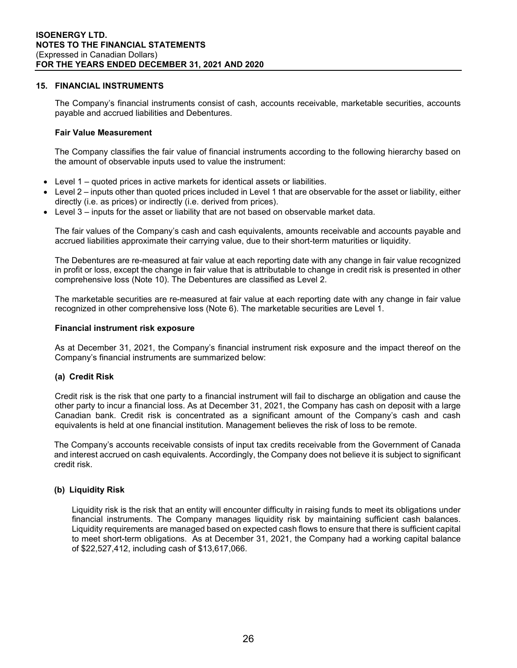#### **15. FINANCIAL INSTRUMENTS**

The Company's financial instruments consist of cash, accounts receivable, marketable securities, accounts payable and accrued liabilities and Debentures.

#### **Fair Value Measurement**

The Company classifies the fair value of financial instruments according to the following hierarchy based on the amount of observable inputs used to value the instrument:

- Level 1 quoted prices in active markets for identical assets or liabilities.
- Level 2 inputs other than quoted prices included in Level 1 that are observable for the asset or liability, either directly (i.e. as prices) or indirectly (i.e. derived from prices).
- Level 3 inputs for the asset or liability that are not based on observable market data.

The fair values of the Company's cash and cash equivalents, amounts receivable and accounts payable and accrued liabilities approximate their carrying value, due to their short-term maturities or liquidity.

The Debentures are re-measured at fair value at each reporting date with any change in fair value recognized in profit or loss, except the change in fair value that is attributable to change in credit risk is presented in other comprehensive loss (Note 10). The Debentures are classified as Level 2.

The marketable securities are re-measured at fair value at each reporting date with any change in fair value recognized in other comprehensive loss (Note 6). The marketable securities are Level 1.

#### **Financial instrument risk exposure**

As at December 31, 2021, the Company's financial instrument risk exposure and the impact thereof on the Company's financial instruments are summarized below:

#### **(a) Credit Risk**

Credit risk is the risk that one party to a financial instrument will fail to discharge an obligation and cause the other party to incur a financial loss. As at December 31, 2021, the Company has cash on deposit with a large Canadian bank. Credit risk is concentrated as a significant amount of the Company's cash and cash equivalents is held at one financial institution. Management believes the risk of loss to be remote.

The Company's accounts receivable consists of input tax credits receivable from the Government of Canada and interest accrued on cash equivalents. Accordingly, the Company does not believe it is subject to significant credit risk.

#### **(b) Liquidity Risk**

Liquidity risk is the risk that an entity will encounter difficulty in raising funds to meet its obligations under financial instruments. The Company manages liquidity risk by maintaining sufficient cash balances. Liquidity requirements are managed based on expected cash flows to ensure that there is sufficient capital to meet short-term obligations. As at December 31, 2021, the Company had a working capital balance of \$22,527,412, including cash of \$13,617,066.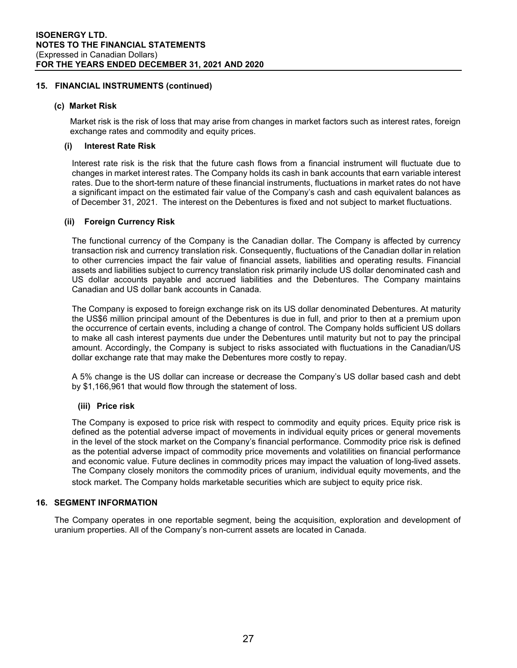#### **15. FINANCIAL INSTRUMENTS (continued)**

#### **(c) Market Risk**

Market risk is the risk of loss that may arise from changes in market factors such as interest rates, foreign exchange rates and commodity and equity prices.

#### **(i) Interest Rate Risk**

Interest rate risk is the risk that the future cash flows from a financial instrument will fluctuate due to changes in market interest rates. The Company holds its cash in bank accounts that earn variable interest rates. Due to the short-term nature of these financial instruments, fluctuations in market rates do not have a significant impact on the estimated fair value of the Company's cash and cash equivalent balances as of December 31, 2021. The interest on the Debentures is fixed and not subject to market fluctuations.

#### **(ii) Foreign Currency Risk**

The functional currency of the Company is the Canadian dollar. The Company is affected by currency transaction risk and currency translation risk. Consequently, fluctuations of the Canadian dollar in relation to other currencies impact the fair value of financial assets, liabilities and operating results. Financial assets and liabilities subject to currency translation risk primarily include US dollar denominated cash and US dollar accounts payable and accrued liabilities and the Debentures. The Company maintains Canadian and US dollar bank accounts in Canada.

The Company is exposed to foreign exchange risk on its US dollar denominated Debentures. At maturity the US\$6 million principal amount of the Debentures is due in full, and prior to then at a premium upon the occurrence of certain events, including a change of control. The Company holds sufficient US dollars to make all cash interest payments due under the Debentures until maturity but not to pay the principal amount. Accordingly, the Company is subject to risks associated with fluctuations in the Canadian/US dollar exchange rate that may make the Debentures more costly to repay.

A 5% change is the US dollar can increase or decrease the Company's US dollar based cash and debt by \$1,166,961 that would flow through the statement of loss.

#### **(iii) Price risk**

The Company is exposed to price risk with respect to commodity and equity prices. Equity price risk is defined as the potential adverse impact of movements in individual equity prices or general movements in the level of the stock market on the Company's financial performance. Commodity price risk is defined as the potential adverse impact of commodity price movements and volatilities on financial performance and economic value. Future declines in commodity prices may impact the valuation of long-lived assets. The Company closely monitors the commodity prices of uranium, individual equity movements, and the stock market. The Company holds marketable securities which are subject to equity price risk.

#### **16. SEGMENT INFORMATION**

The Company operates in one reportable segment, being the acquisition, exploration and development of uranium properties. All of the Company's non-current assets are located in Canada.